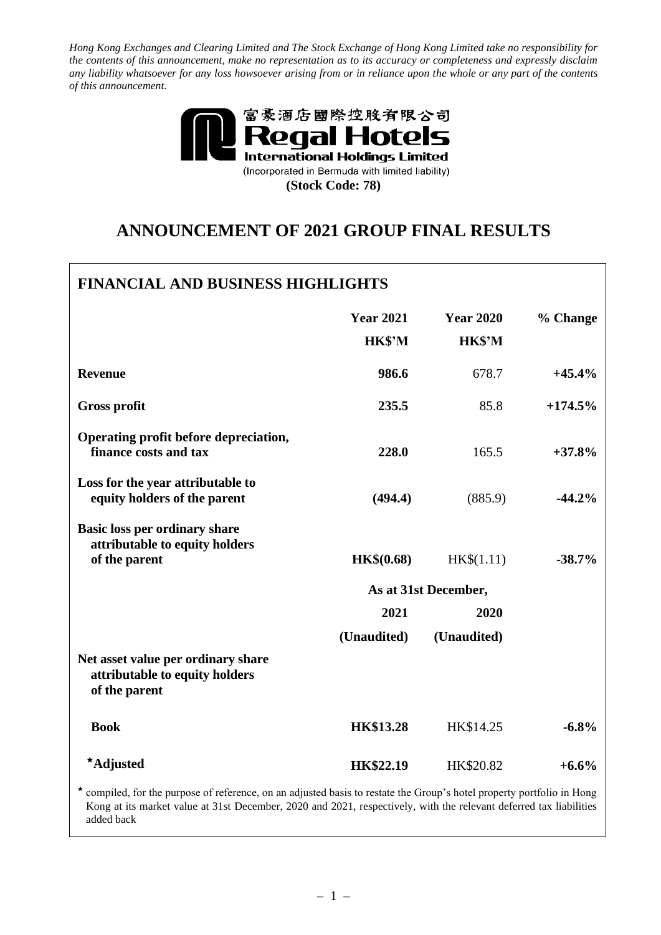*Hong Kong Exchanges and Clearing Limited and The Stock Exchange of Hong Kong Limited take no responsibility for the contents of this announcement, make no representation as to its accuracy or completeness and expressly disclaim any liability whatsoever for any loss howsoever arising from or in reliance upon the whole or any part of the contents of this announcement.*



# **ANNOUNCEMENT OF 2021 GROUP FINAL RESULTS**

| <b>FINANCIAL AND BUSINESS HIGHLIGHTS</b>                                                                                                                                                                                                                                                                   |                            |                            |           |
|------------------------------------------------------------------------------------------------------------------------------------------------------------------------------------------------------------------------------------------------------------------------------------------------------------|----------------------------|----------------------------|-----------|
|                                                                                                                                                                                                                                                                                                            | <b>Year 2021</b><br>HK\$'M | <b>Year 2020</b><br>HK\$'M | % Change  |
| <b>Revenue</b>                                                                                                                                                                                                                                                                                             | 986.6                      | 678.7                      | $+45.4%$  |
| <b>Gross profit</b>                                                                                                                                                                                                                                                                                        | 235.5                      | 85.8                       | $+174.5%$ |
| Operating profit before depreciation,<br>finance costs and tax                                                                                                                                                                                                                                             | 228.0                      | 165.5                      | $+37.8%$  |
| Loss for the year attributable to<br>equity holders of the parent                                                                                                                                                                                                                                          | (494.4)                    | (885.9)                    | $-44.2%$  |
| <b>Basic loss per ordinary share</b><br>attributable to equity holders<br>of the parent                                                                                                                                                                                                                    | <b>HK\$(0.68)</b>          | HK\$(1.11)                 | $-38.7%$  |
|                                                                                                                                                                                                                                                                                                            |                            | As at 31st December,       |           |
|                                                                                                                                                                                                                                                                                                            | 2021                       | 2020                       |           |
|                                                                                                                                                                                                                                                                                                            | (Unaudited)                | (Unaudited)                |           |
| Net asset value per ordinary share<br>attributable to equity holders<br>of the parent                                                                                                                                                                                                                      |                            |                            |           |
| <b>Book</b>                                                                                                                                                                                                                                                                                                | <b>HK\$13.28</b>           | HK\$14.25                  | $-6.8%$   |
| *Adjusted                                                                                                                                                                                                                                                                                                  | HK\$22.19                  | HK\$20.82                  | $+6.6%$   |
| $\star$ , the decomposition of the decomposition of $\sigma$ and $\sigma$ and $\sigma$ and $\sigma$ and $\sigma$ and $\sigma$ and $\sigma$ and $\sigma$ and $\sigma$ and $\sigma$ and $\sigma$ and $\sigma$ and $\sigma$ and $\sigma$ and $\sigma$ and $\sigma$ and $\sigma$ and $\sigma$ and $\sigma$ and |                            |                            |           |

compiled, for the purpose of reference, on an adjusted basis to restate the Group's hotel property portfolio in Hong Kong at its market value at 31st December, 2020 and 2021, respectively, with the relevant deferred tax liabilities added back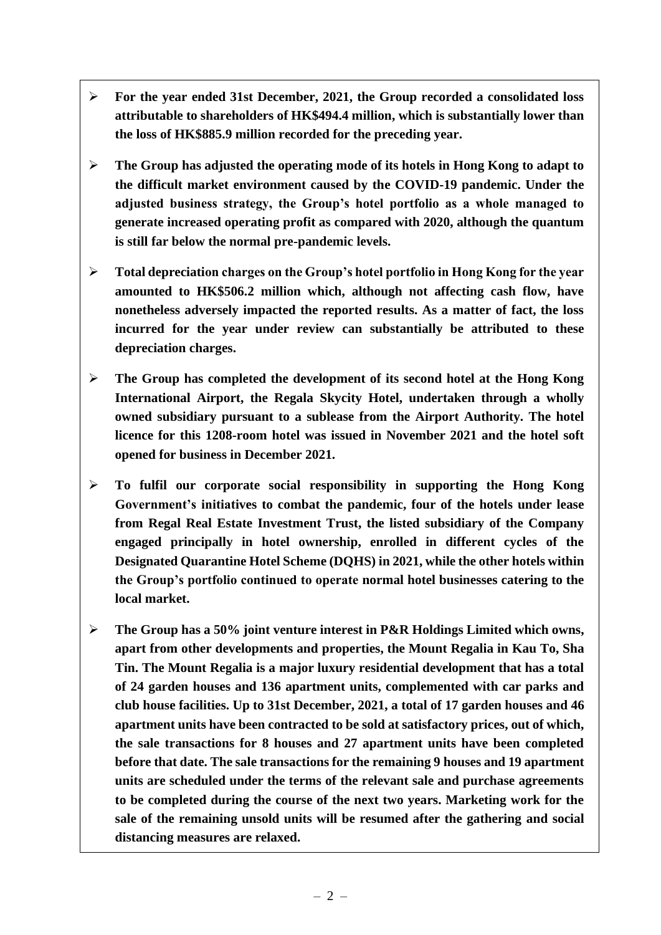- ➢ **For the year ended 31st December, 2021, the Group recorded a consolidated loss attributable to shareholders of HK\$494.4 million, which is substantially lower than the loss of HK\$885.9 million recorded for the preceding year.**
- ➢ **The Group has adjusted the operating mode of its hotels in Hong Kong to adapt to the difficult market environment caused by the COVID-19 pandemic. Under the adjusted business strategy, the Group's hotel portfolio as a whole managed to generate increased operating profit as compared with 2020, although the quantum is still far below the normal pre-pandemic levels.**
- ➢ **Total depreciation charges on the Group's hotel portfolio in Hong Kong for the year amounted to HK\$506.2 million which, although not affecting cash flow, have nonetheless adversely impacted the reported results. As a matter of fact, the loss incurred for the year under review can substantially be attributed to these depreciation charges.**
- ➢ **The Group has completed the development of its second hotel at the Hong Kong International Airport, the Regala Skycity Hotel, undertaken through a wholly owned subsidiary pursuant to a sublease from the Airport Authority. The hotel licence for this 1208-room hotel was issued in November 2021 and the hotel soft opened for business in December 2021.**
- ➢ **To fulfil our corporate social responsibility in supporting the Hong Kong Government's initiatives to combat the pandemic, four of the hotels under lease from Regal Real Estate Investment Trust, the listed subsidiary of the Company engaged principally in hotel ownership, enrolled in different cycles of the Designated Quarantine Hotel Scheme (DQHS) in 2021, while the other hotels within the Group's portfolio continued to operate normal hotel businesses catering to the local market.**
- ➢ **The Group has a 50% joint venture interest in P&R Holdings Limited which owns, apart from other developments and properties, the Mount Regalia in Kau To, Sha Tin. The Mount Regalia is a major luxury residential development that has a total of 24 garden houses and 136 apartment units, complemented with car parks and club house facilities. Up to 31st December, 2021, a total of 17 garden houses and 46 apartment units have been contracted to be sold at satisfactory prices, out of which, the sale transactions for 8 houses and 27 apartment units have been completed before that date. The sale transactions for the remaining 9 houses and 19 apartment units are scheduled under the terms of the relevant sale and purchase agreements to be completed during the course of the next two years. Marketing work for the sale of the remaining unsold units will be resumed after the gathering and social distancing measures are relaxed.**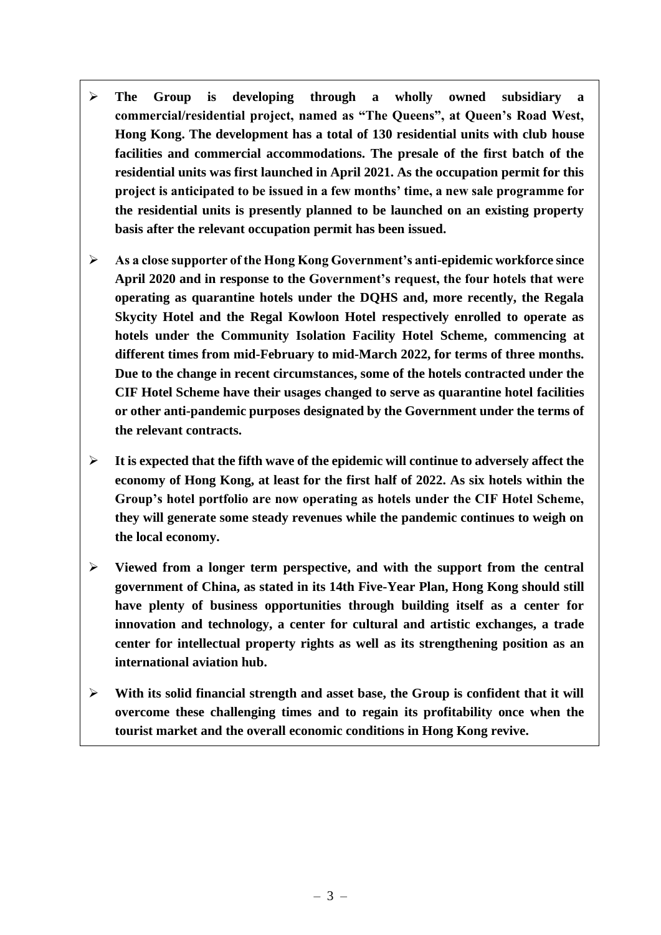- ➢ **The Group is developing through a wholly owned subsidiary a commercial/residential project, named as "The Queens", at Queen's Road West, Hong Kong. The development has a total of 130 residential units with club house facilities and commercial accommodations. The presale of the first batch of the residential units was first launched in April 2021. As the occupation permit for this project is anticipated to be issued in a few months' time, a new sale programme for the residential units is presently planned to be launched on an existing property basis after the relevant occupation permit has been issued.**
- ➢ **As a close supporter of the Hong Kong Government's anti-epidemic workforce since April 2020 and in response to the Government's request, the four hotels that were operating as quarantine hotels under the DQHS and, more recently, the Regala Skycity Hotel and the Regal Kowloon Hotel respectively enrolled to operate as hotels under the Community Isolation Facility Hotel Scheme, commencing at different times from mid-February to mid-March 2022, for terms of three months. Due to the change in recent circumstances, some of the hotels contracted under the CIF Hotel Scheme have their usages changed to serve as quarantine hotel facilities or other anti-pandemic purposes designated by the Government under the terms of the relevant contracts.**
- ➢ **It is expected that the fifth wave of the epidemic will continue to adversely affect the economy of Hong Kong, at least for the first half of 2022. As six hotels within the Group's hotel portfolio are now operating as hotels under the CIF Hotel Scheme, they will generate some steady revenues while the pandemic continues to weigh on the local economy.**
- ➢ **Viewed from a longer term perspective, and with the support from the central government of China, as stated in its 14th Five-Year Plan, Hong Kong should still have plenty of business opportunities through building itself as a center for innovation and technology, a center for cultural and artistic exchanges, a trade center for intellectual property rights as well as its strengthening position as an international aviation hub.**
- ➢ **With its solid financial strength and asset base, the Group is confident that it will overcome these challenging times and to regain its profitability once when the tourist market and the overall economic conditions in Hong Kong revive.**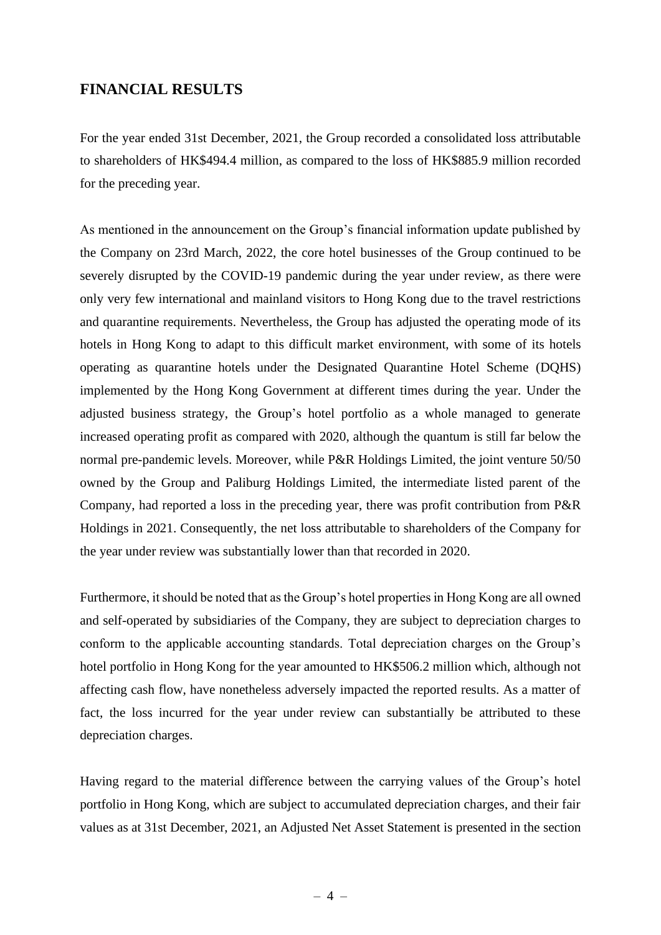# **FINANCIAL RESULTS**

For the year ended 31st December, 2021, the Group recorded a consolidated loss attributable to shareholders of HK\$494.4 million, as compared to the loss of HK\$885.9 million recorded for the preceding year.

As mentioned in the announcement on the Group's financial information update published by the Company on 23rd March, 2022, the core hotel businesses of the Group continued to be severely disrupted by the COVID-19 pandemic during the year under review, as there were only very few international and mainland visitors to Hong Kong due to the travel restrictions and quarantine requirements. Nevertheless, the Group has adjusted the operating mode of its hotels in Hong Kong to adapt to this difficult market environment, with some of its hotels operating as quarantine hotels under the Designated Quarantine Hotel Scheme (DQHS) implemented by the Hong Kong Government at different times during the year. Under the adjusted business strategy, the Group's hotel portfolio as a whole managed to generate increased operating profit as compared with 2020, although the quantum is still far below the normal pre-pandemic levels. Moreover, while P&R Holdings Limited, the joint venture 50/50 owned by the Group and Paliburg Holdings Limited, the intermediate listed parent of the Company, had reported a loss in the preceding year, there was profit contribution from P&R Holdings in 2021. Consequently, the net loss attributable to shareholders of the Company for the year under review was substantially lower than that recorded in 2020.

Furthermore, it should be noted that as the Group's hotel properties in Hong Kong are all owned and self-operated by subsidiaries of the Company, they are subject to depreciation charges to conform to the applicable accounting standards. Total depreciation charges on the Group's hotel portfolio in Hong Kong for the year amounted to HK\$506.2 million which, although not affecting cash flow, have nonetheless adversely impacted the reported results. As a matter of fact, the loss incurred for the year under review can substantially be attributed to these depreciation charges.

Having regard to the material difference between the carrying values of the Group's hotel portfolio in Hong Kong, which are subject to accumulated depreciation charges, and their fair values as at 31st December, 2021, an Adjusted Net Asset Statement is presented in the section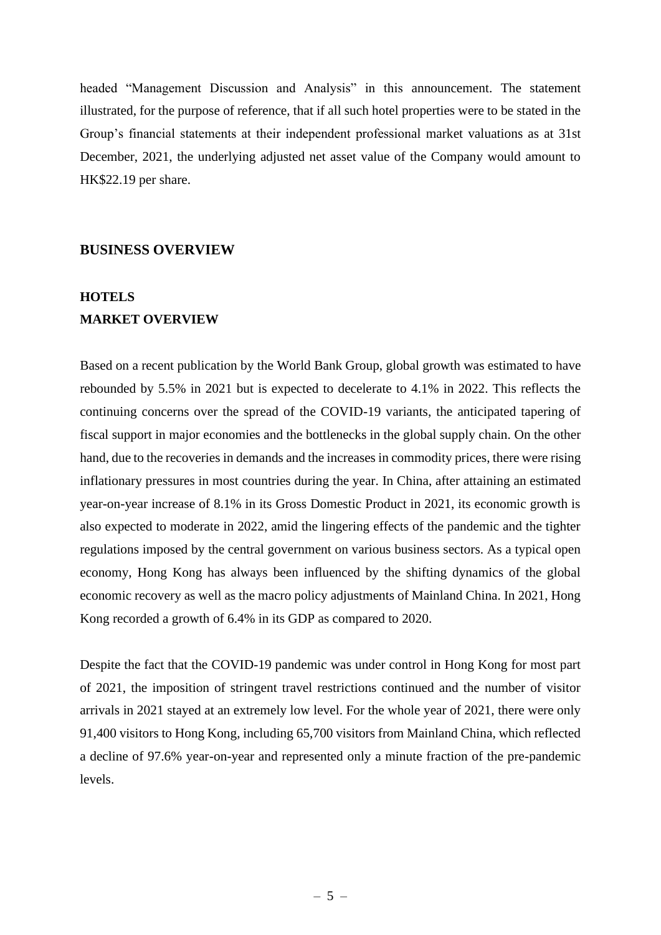headed "Management Discussion and Analysis" in this announcement. The statement illustrated, for the purpose of reference, that if all such hotel properties were to be stated in the Group's financial statements at their independent professional market valuations as at 31st December, 2021, the underlying adjusted net asset value of the Company would amount to HK\$22.19 per share.

#### **BUSINESS OVERVIEW**

# **HOTELS MARKET OVERVIEW**

Based on a recent publication by the World Bank Group, global growth was estimated to have rebounded by 5.5% in 2021 but is expected to decelerate to 4.1% in 2022. This reflects the continuing concerns over the spread of the COVID-19 variants, the anticipated tapering of fiscal support in major economies and the bottlenecks in the global supply chain. On the other hand, due to the recoveries in demands and the increases in commodity prices, there were rising inflationary pressures in most countries during the year. In China, after attaining an estimated year-on-year increase of 8.1% in its Gross Domestic Product in 2021, its economic growth is also expected to moderate in 2022, amid the lingering effects of the pandemic and the tighter regulations imposed by the central government on various business sectors. As a typical open economy, Hong Kong has always been influenced by the shifting dynamics of the global economic recovery as well as the macro policy adjustments of Mainland China. In 2021, Hong Kong recorded a growth of 6.4% in its GDP as compared to 2020.

Despite the fact that the COVID-19 pandemic was under control in Hong Kong for most part of 2021, the imposition of stringent travel restrictions continued and the number of visitor arrivals in 2021 stayed at an extremely low level. For the whole year of 2021, there were only 91,400 visitors to Hong Kong, including 65,700 visitors from Mainland China, which reflected a decline of 97.6% year-on-year and represented only a minute fraction of the pre-pandemic levels.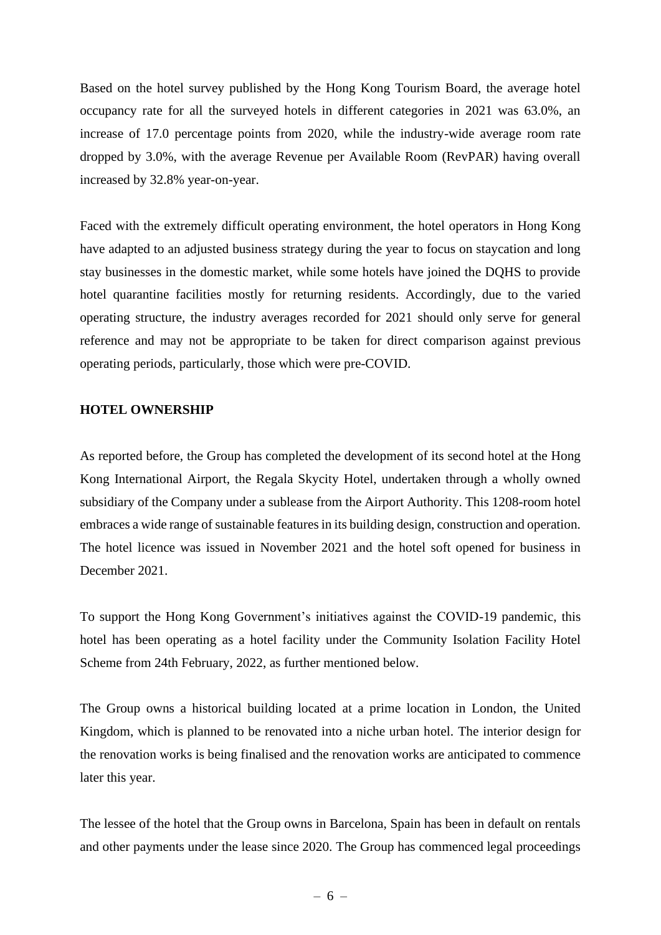Based on the hotel survey published by the Hong Kong Tourism Board, the average hotel occupancy rate for all the surveyed hotels in different categories in 2021 was 63.0%, an increase of 17.0 percentage points from 2020, while the industry-wide average room rate dropped by 3.0%, with the average Revenue per Available Room (RevPAR) having overall increased by 32.8% year-on-year.

Faced with the extremely difficult operating environment, the hotel operators in Hong Kong have adapted to an adjusted business strategy during the year to focus on staycation and long stay businesses in the domestic market, while some hotels have joined the DQHS to provide hotel quarantine facilities mostly for returning residents. Accordingly, due to the varied operating structure, the industry averages recorded for 2021 should only serve for general reference and may not be appropriate to be taken for direct comparison against previous operating periods, particularly, those which were pre-COVID.

#### **HOTEL OWNERSHIP**

As reported before, the Group has completed the development of its second hotel at the Hong Kong International Airport, the Regala Skycity Hotel, undertaken through a wholly owned subsidiary of the Company under a sublease from the Airport Authority. This 1208-room hotel embraces a wide range of sustainable features in its building design, construction and operation. The hotel licence was issued in November 2021 and the hotel soft opened for business in December 2021.

To support the Hong Kong Government's initiatives against the COVID-19 pandemic, this hotel has been operating as a hotel facility under the Community Isolation Facility Hotel Scheme from 24th February, 2022, as further mentioned below.

The Group owns a historical building located at a prime location in London, the United Kingdom, which is planned to be renovated into a niche urban hotel. The interior design for the renovation works is being finalised and the renovation works are anticipated to commence later this year.

The lessee of the hotel that the Group owns in Barcelona, Spain has been in default on rentals and other payments under the lease since 2020. The Group has commenced legal proceedings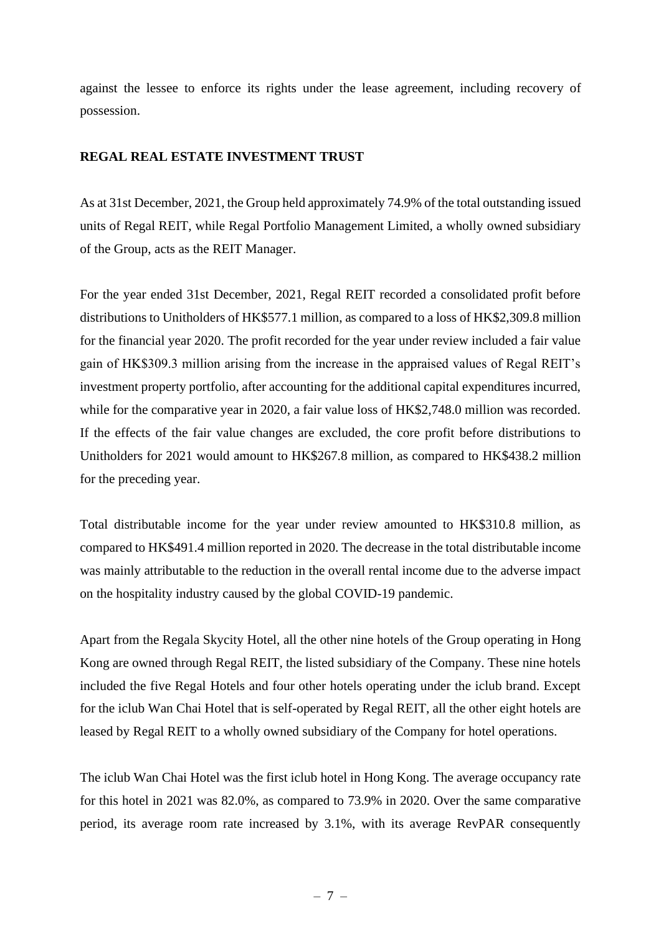against the lessee to enforce its rights under the lease agreement, including recovery of possession.

## **REGAL REAL ESTATE INVESTMENT TRUST**

As at 31st December, 2021, the Group held approximately 74.9% of the total outstanding issued units of Regal REIT, while Regal Portfolio Management Limited, a wholly owned subsidiary of the Group, acts as the REIT Manager.

For the year ended 31st December, 2021, Regal REIT recorded a consolidated profit before distributions to Unitholders of HK\$577.1 million, as compared to a loss of HK\$2,309.8 million for the financial year 2020. The profit recorded for the year under review included a fair value gain of HK\$309.3 million arising from the increase in the appraised values of Regal REIT's investment property portfolio, after accounting for the additional capital expenditures incurred, while for the comparative year in 2020, a fair value loss of HK\$2,748.0 million was recorded. If the effects of the fair value changes are excluded, the core profit before distributions to Unitholders for 2021 would amount to HK\$267.8 million, as compared to HK\$438.2 million for the preceding year.

Total distributable income for the year under review amounted to HK\$310.8 million, as compared to HK\$491.4 million reported in 2020. The decrease in the total distributable income was mainly attributable to the reduction in the overall rental income due to the adverse impact on the hospitality industry caused by the global COVID-19 pandemic.

Apart from the Regala Skycity Hotel, all the other nine hotels of the Group operating in Hong Kong are owned through Regal REIT, the listed subsidiary of the Company. These nine hotels included the five Regal Hotels and four other hotels operating under the iclub brand. Except for the iclub Wan Chai Hotel that is self-operated by Regal REIT, all the other eight hotels are leased by Regal REIT to a wholly owned subsidiary of the Company for hotel operations.

The iclub Wan Chai Hotel was the first iclub hotel in Hong Kong. The average occupancy rate for this hotel in 2021 was 82.0%, as compared to 73.9% in 2020. Over the same comparative period, its average room rate increased by 3.1%, with its average RevPAR consequently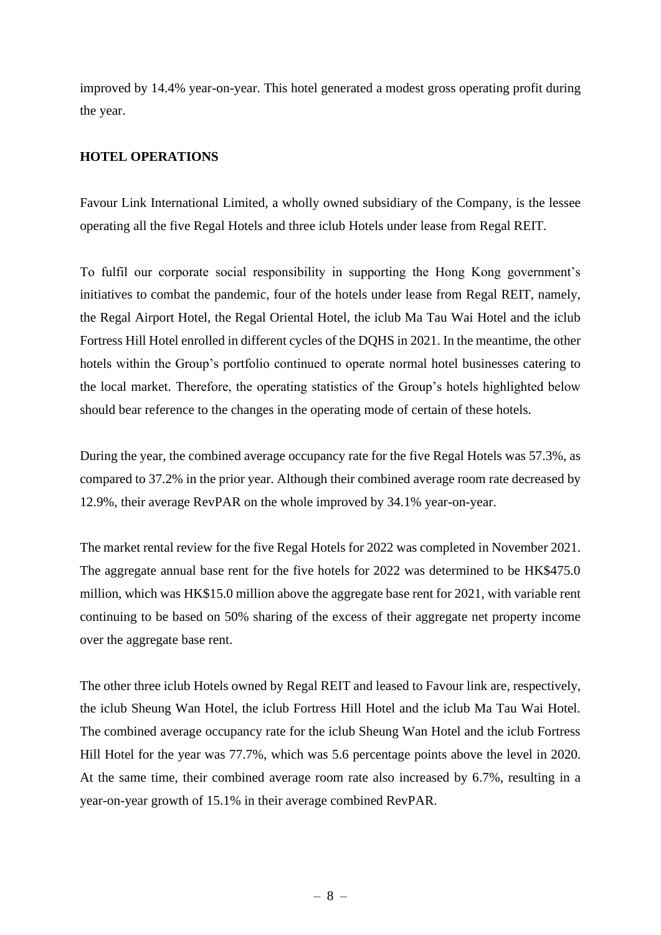improved by 14.4% year-on-year. This hotel generated a modest gross operating profit during the year.

### **HOTEL OPERATIONS**

Favour Link International Limited, a wholly owned subsidiary of the Company, is the lessee operating all the five Regal Hotels and three iclub Hotels under lease from Regal REIT.

To fulfil our corporate social responsibility in supporting the Hong Kong government's initiatives to combat the pandemic, four of the hotels under lease from Regal REIT, namely, the Regal Airport Hotel, the Regal Oriental Hotel, the iclub Ma Tau Wai Hotel and the iclub Fortress Hill Hotel enrolled in different cycles of the DQHS in 2021. In the meantime, the other hotels within the Group's portfolio continued to operate normal hotel businesses catering to the local market. Therefore, the operating statistics of the Group's hotels highlighted below should bear reference to the changes in the operating mode of certain of these hotels.

During the year, the combined average occupancy rate for the five Regal Hotels was 57.3%, as compared to 37.2% in the prior year. Although their combined average room rate decreased by 12.9%, their average RevPAR on the whole improved by 34.1% year-on-year.

The market rental review for the five Regal Hotels for 2022 was completed in November 2021. The aggregate annual base rent for the five hotels for 2022 was determined to be HK\$475.0 million, which was HK\$15.0 million above the aggregate base rent for 2021, with variable rent continuing to be based on 50% sharing of the excess of their aggregate net property income over the aggregate base rent.

The other three iclub Hotels owned by Regal REIT and leased to Favour link are, respectively, the iclub Sheung Wan Hotel, the iclub Fortress Hill Hotel and the iclub Ma Tau Wai Hotel. The combined average occupancy rate for the iclub Sheung Wan Hotel and the iclub Fortress Hill Hotel for the year was 77.7%, which was 5.6 percentage points above the level in 2020. At the same time, their combined average room rate also increased by 6.7%, resulting in a year-on-year growth of 15.1% in their average combined RevPAR.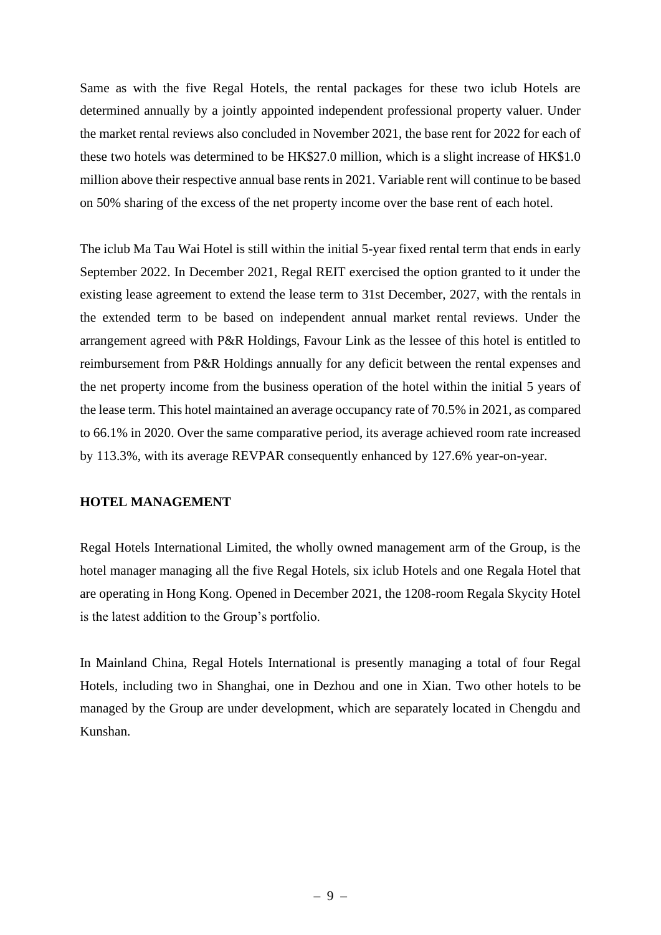Same as with the five Regal Hotels, the rental packages for these two iclub Hotels are determined annually by a jointly appointed independent professional property valuer. Under the market rental reviews also concluded in November 2021, the base rent for 2022 for each of these two hotels was determined to be HK\$27.0 million, which is a slight increase of HK\$1.0 million above their respective annual base rents in 2021. Variable rent will continue to be based on 50% sharing of the excess of the net property income over the base rent of each hotel.

The iclub Ma Tau Wai Hotel is still within the initial 5-year fixed rental term that ends in early September 2022. In December 2021, Regal REIT exercised the option granted to it under the existing lease agreement to extend the lease term to 31st December, 2027, with the rentals in the extended term to be based on independent annual market rental reviews. Under the arrangement agreed with P&R Holdings, Favour Link as the lessee of this hotel is entitled to reimbursement from P&R Holdings annually for any deficit between the rental expenses and the net property income from the business operation of the hotel within the initial 5 years of the lease term. This hotel maintained an average occupancy rate of 70.5% in 2021, as compared to 66.1% in 2020. Over the same comparative period, its average achieved room rate increased by 113.3%, with its average REVPAR consequently enhanced by 127.6% year-on-year.

### **HOTEL MANAGEMENT**

Regal Hotels International Limited, the wholly owned management arm of the Group, is the hotel manager managing all the five Regal Hotels, six iclub Hotels and one Regala Hotel that are operating in Hong Kong. Opened in December 2021, the 1208-room Regala Skycity Hotel is the latest addition to the Group's portfolio.

In Mainland China, Regal Hotels International is presently managing a total of four Regal Hotels, including two in Shanghai, one in Dezhou and one in Xian. Two other hotels to be managed by the Group are under development, which are separately located in Chengdu and Kunshan.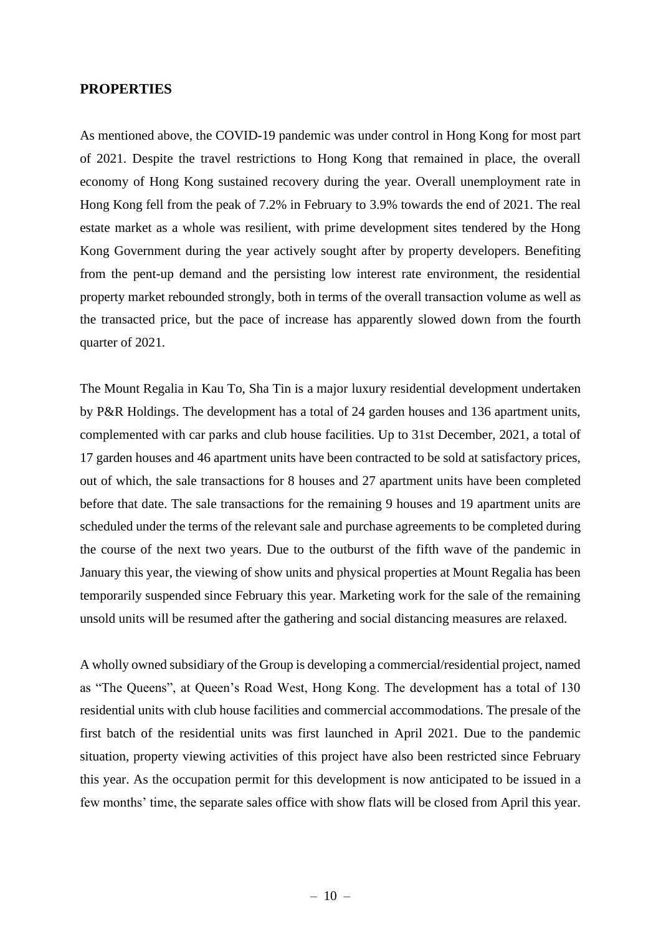### **PROPERTIES**

As mentioned above, the COVID-19 pandemic was under control in Hong Kong for most part of 2021. Despite the travel restrictions to Hong Kong that remained in place, the overall economy of Hong Kong sustained recovery during the year. Overall unemployment rate in Hong Kong fell from the peak of 7.2% in February to 3.9% towards the end of 2021. The real estate market as a whole was resilient, with prime development sites tendered by the Hong Kong Government during the year actively sought after by property developers. Benefiting from the pent-up demand and the persisting low interest rate environment, the residential property market rebounded strongly, both in terms of the overall transaction volume as well as the transacted price, but the pace of increase has apparently slowed down from the fourth quarter of 2021.

The Mount Regalia in Kau To, Sha Tin is a major luxury residential development undertaken by P&R Holdings. The development has a total of 24 garden houses and 136 apartment units, complemented with car parks and club house facilities. Up to 31st December, 2021, a total of 17 garden houses and 46 apartment units have been contracted to be sold at satisfactory prices, out of which, the sale transactions for 8 houses and 27 apartment units have been completed before that date. The sale transactions for the remaining 9 houses and 19 apartment units are scheduled under the terms of the relevant sale and purchase agreements to be completed during the course of the next two years. Due to the outburst of the fifth wave of the pandemic in January this year, the viewing of show units and physical properties at Mount Regalia has been temporarily suspended since February this year. Marketing work for the sale of the remaining unsold units will be resumed after the gathering and social distancing measures are relaxed.

A wholly owned subsidiary of the Group is developing a commercial/residential project, named as "The Queens", at Queen's Road West, Hong Kong. The development has a total of 130 residential units with club house facilities and commercial accommodations. The presale of the first batch of the residential units was first launched in April 2021. Due to the pandemic situation, property viewing activities of this project have also been restricted since February this year. As the occupation permit for this development is now anticipated to be issued in a few months' time, the separate sales office with show flats will be closed from April this year.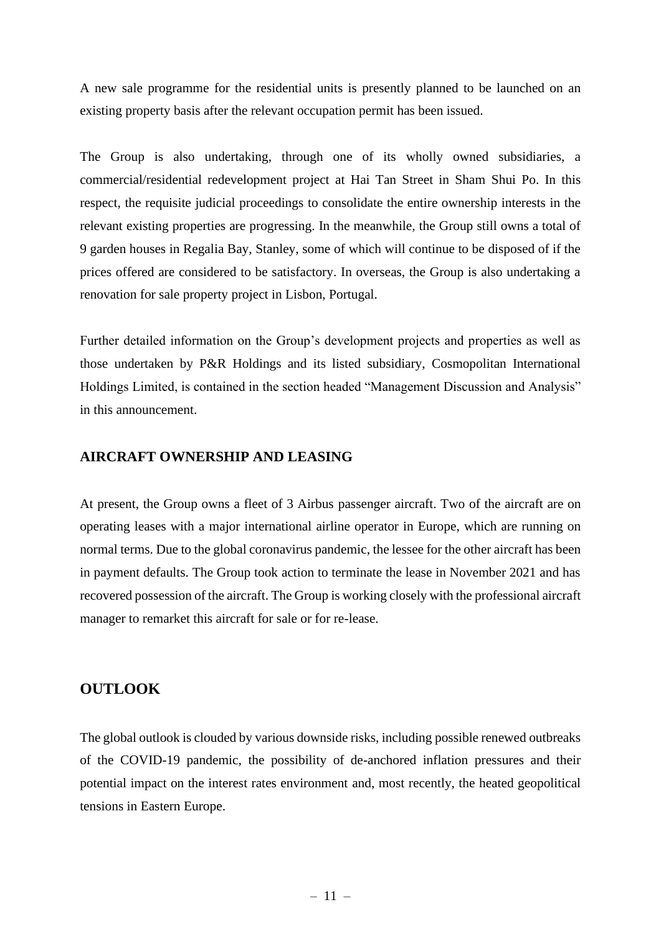A new sale programme for the residential units is presently planned to be launched on an existing property basis after the relevant occupation permit has been issued.

The Group is also undertaking, through one of its wholly owned subsidiaries, a commercial/residential redevelopment project at Hai Tan Street in Sham Shui Po. In this respect, the requisite judicial proceedings to consolidate the entire ownership interests in the relevant existing properties are progressing. In the meanwhile, the Group still owns a total of 9 garden houses in Regalia Bay, Stanley, some of which will continue to be disposed of if the prices offered are considered to be satisfactory. In overseas, the Group is also undertaking a renovation for sale property project in Lisbon, Portugal.

Further detailed information on the Group's development projects and properties as well as those undertaken by P&R Holdings and its listed subsidiary, Cosmopolitan International Holdings Limited, is contained in the section headed "Management Discussion and Analysis" in this announcement.

# **AIRCRAFT OWNERSHIP AND LEASING**

At present, the Group owns a fleet of 3 Airbus passenger aircraft. Two of the aircraft are on operating leases with a major international airline operator in Europe, which are running on normal terms. Due to the global coronavirus pandemic, the lessee for the other aircraft has been in payment defaults. The Group took action to terminate the lease in November 2021 and has recovered possession of the aircraft. The Group is working closely with the professional aircraft manager to remarket this aircraft for sale or for re-lease.

# **OUTLOOK**

The global outlook is clouded by various downside risks, including possible renewed outbreaks of the COVID-19 pandemic, the possibility of de-anchored inflation pressures and their potential impact on the interest rates environment and, most recently, the heated geopolitical tensions in Eastern Europe.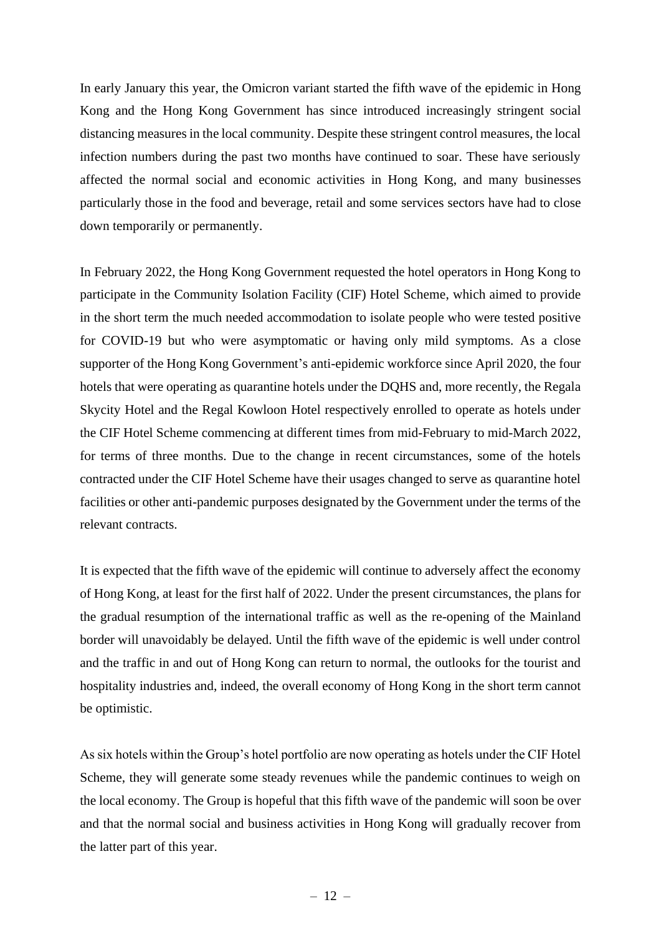In early January this year, the Omicron variant started the fifth wave of the epidemic in Hong Kong and the Hong Kong Government has since introduced increasingly stringent social distancing measures in the local community. Despite these stringent control measures, the local infection numbers during the past two months have continued to soar. These have seriously affected the normal social and economic activities in Hong Kong, and many businesses particularly those in the food and beverage, retail and some services sectors have had to close down temporarily or permanently.

In February 2022, the Hong Kong Government requested the hotel operators in Hong Kong to participate in the Community Isolation Facility (CIF) Hotel Scheme, which aimed to provide in the short term the much needed accommodation to isolate people who were tested positive for COVID-19 but who were asymptomatic or having only mild symptoms. As a close supporter of the Hong Kong Government's anti-epidemic workforce since April 2020, the four hotels that were operating as quarantine hotels under the DQHS and, more recently, the Regala Skycity Hotel and the Regal Kowloon Hotel respectively enrolled to operate as hotels under the CIF Hotel Scheme commencing at different times from mid-February to mid-March 2022, for terms of three months. Due to the change in recent circumstances, some of the hotels contracted under the CIF Hotel Scheme have their usages changed to serve as quarantine hotel facilities or other anti-pandemic purposes designated by the Government under the terms of the relevant contracts.

It is expected that the fifth wave of the epidemic will continue to adversely affect the economy of Hong Kong, at least for the first half of 2022. Under the present circumstances, the plans for the gradual resumption of the international traffic as well as the re-opening of the Mainland border will unavoidably be delayed. Until the fifth wave of the epidemic is well under control and the traffic in and out of Hong Kong can return to normal, the outlooks for the tourist and hospitality industries and, indeed, the overall economy of Hong Kong in the short term cannot be optimistic.

As six hotels within the Group's hotel portfolio are now operating as hotels under the CIF Hotel Scheme, they will generate some steady revenues while the pandemic continues to weigh on the local economy. The Group is hopeful that this fifth wave of the pandemic will soon be over and that the normal social and business activities in Hong Kong will gradually recover from the latter part of this year.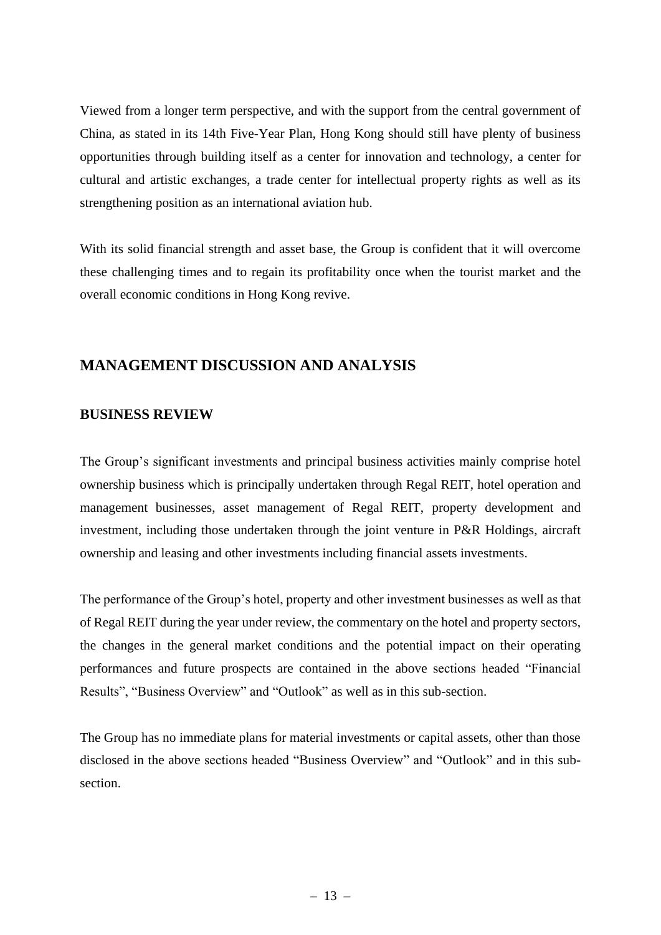Viewed from a longer term perspective, and with the support from the central government of China, as stated in its 14th Five-Year Plan, Hong Kong should still have plenty of business opportunities through building itself as a center for innovation and technology, a center for cultural and artistic exchanges, a trade center for intellectual property rights as well as its strengthening position as an international aviation hub.

With its solid financial strength and asset base, the Group is confident that it will overcome these challenging times and to regain its profitability once when the tourist market and the overall economic conditions in Hong Kong revive.

# **MANAGEMENT DISCUSSION AND ANALYSIS**

# **BUSINESS REVIEW**

The Group's significant investments and principal business activities mainly comprise hotel ownership business which is principally undertaken through Regal REIT, hotel operation and management businesses, asset management of Regal REIT, property development and investment, including those undertaken through the joint venture in P&R Holdings, aircraft ownership and leasing and other investments including financial assets investments.

The performance of the Group's hotel, property and other investment businesses as well as that of Regal REIT during the year under review, the commentary on the hotel and property sectors, the changes in the general market conditions and the potential impact on their operating performances and future prospects are contained in the above sections headed "Financial Results", "Business Overview" and "Outlook" as well as in this sub-section.

The Group has no immediate plans for material investments or capital assets, other than those disclosed in the above sections headed "Business Overview" and "Outlook" and in this subsection.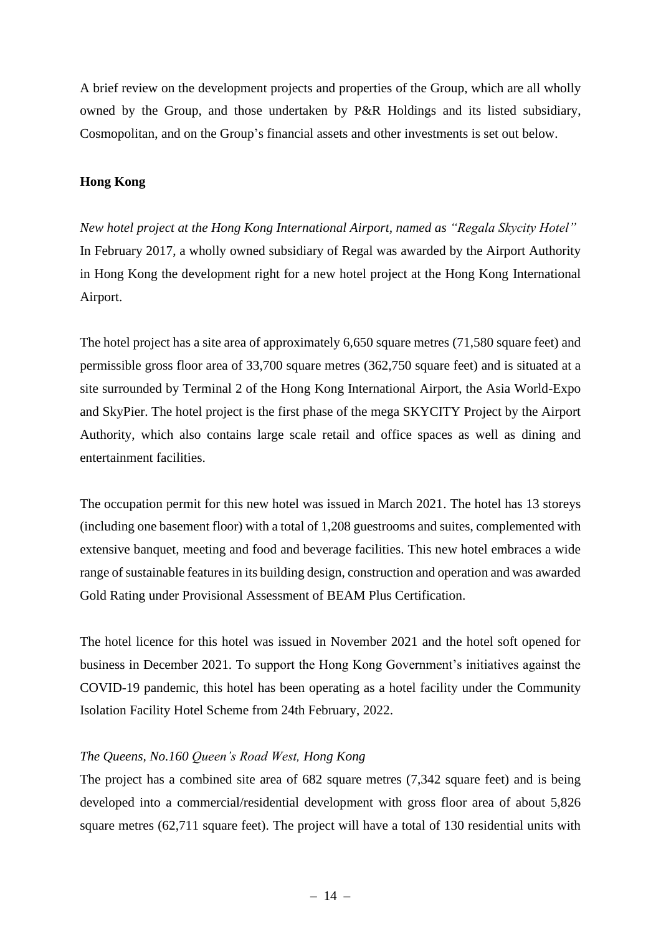A brief review on the development projects and properties of the Group, which are all wholly owned by the Group, and those undertaken by P&R Holdings and its listed subsidiary, Cosmopolitan, and on the Group's financial assets and other investments is set out below.

#### **Hong Kong**

*New hotel project at the Hong Kong International Airport, named as "Regala Skycity Hotel"* In February 2017, a wholly owned subsidiary of Regal was awarded by the Airport Authority in Hong Kong the development right for a new hotel project at the Hong Kong International Airport.

The hotel project has a site area of approximately 6,650 square metres (71,580 square feet) and permissible gross floor area of 33,700 square metres (362,750 square feet) and is situated at a site surrounded by Terminal 2 of the Hong Kong International Airport, the Asia World-Expo and SkyPier. The hotel project is the first phase of the mega SKYCITY Project by the Airport Authority, which also contains large scale retail and office spaces as well as dining and entertainment facilities.

The occupation permit for this new hotel was issued in March 2021. The hotel has 13 storeys (including one basement floor) with a total of 1,208 guestrooms and suites, complemented with extensive banquet, meeting and food and beverage facilities. This new hotel embraces a wide range of sustainable features in its building design, construction and operation and was awarded Gold Rating under Provisional Assessment of BEAM Plus Certification.

The hotel licence for this hotel was issued in November 2021 and the hotel soft opened for business in December 2021. To support the Hong Kong Government's initiatives against the COVID-19 pandemic, this hotel has been operating as a hotel facility under the Community Isolation Facility Hotel Scheme from 24th February, 2022.

### *The Queens, No.160 Queen's Road West, Hong Kong*

The project has a combined site area of 682 square metres (7,342 square feet) and is being developed into a commercial/residential development with gross floor area of about 5,826 square metres (62,711 square feet). The project will have a total of 130 residential units with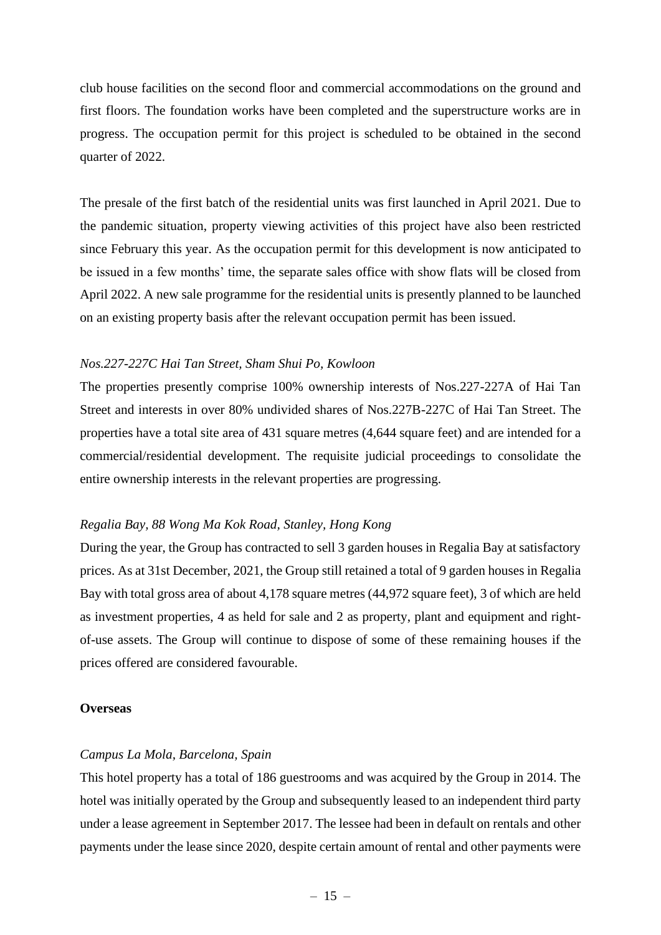club house facilities on the second floor and commercial accommodations on the ground and first floors. The foundation works have been completed and the superstructure works are in progress. The occupation permit for this project is scheduled to be obtained in the second quarter of 2022.

The presale of the first batch of the residential units was first launched in April 2021. Due to the pandemic situation, property viewing activities of this project have also been restricted since February this year. As the occupation permit for this development is now anticipated to be issued in a few months' time, the separate sales office with show flats will be closed from April 2022. A new sale programme for the residential units is presently planned to be launched on an existing property basis after the relevant occupation permit has been issued.

#### *Nos.227-227C Hai Tan Street, Sham Shui Po, Kowloon*

The properties presently comprise 100% ownership interests of Nos.227-227A of Hai Tan Street and interests in over 80% undivided shares of Nos.227B-227C of Hai Tan Street. The properties have a total site area of 431 square metres (4,644 square feet) and are intended for a commercial/residential development. The requisite judicial proceedings to consolidate the entire ownership interests in the relevant properties are progressing.

#### *Regalia Bay, 88 Wong Ma Kok Road, Stanley, Hong Kong*

During the year, the Group has contracted to sell 3 garden houses in Regalia Bay at satisfactory prices. As at 31st December, 2021, the Group still retained a total of 9 garden houses in Regalia Bay with total gross area of about 4,178 square metres (44,972 square feet), 3 of which are held as investment properties, 4 as held for sale and 2 as property, plant and equipment and rightof-use assets. The Group will continue to dispose of some of these remaining houses if the prices offered are considered favourable.

#### **Overseas**

#### *Campus La Mola, Barcelona, Spain*

This hotel property has a total of 186 guestrooms and was acquired by the Group in 2014. The hotel was initially operated by the Group and subsequently leased to an independent third party under a lease agreement in September 2017. The lessee had been in default on rentals and other payments under the lease since 2020, despite certain amount of rental and other payments were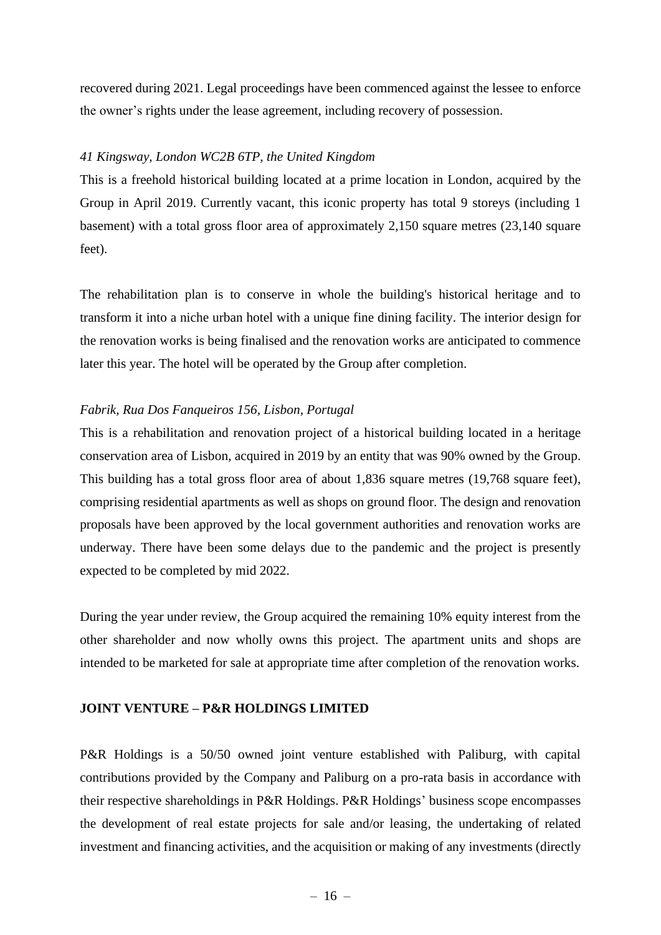recovered during 2021. Legal proceedings have been commenced against the lessee to enforce the owner's rights under the lease agreement, including recovery of possession.

#### *41 Kingsway, London WC2B 6TP, the United Kingdom*

This is a freehold historical building located at a prime location in London, acquired by the Group in April 2019. Currently vacant, this iconic property has total 9 storeys (including 1 basement) with a total gross floor area of approximately 2,150 square metres (23,140 square feet).

The rehabilitation plan is to conserve in whole the building's historical heritage and to transform it into a niche urban hotel with a unique fine dining facility. The interior design for the renovation works is being finalised and the renovation works are anticipated to commence later this year. The hotel will be operated by the Group after completion.

#### *Fabrik, Rua Dos Fanqueiros 156, Lisbon, Portugal*

This is a rehabilitation and renovation project of a historical building located in a heritage conservation area of Lisbon, acquired in 2019 by an entity that was 90% owned by the Group. This building has a total gross floor area of about 1,836 square metres (19,768 square feet), comprising residential apartments as well as shops on ground floor. The design and renovation proposals have been approved by the local government authorities and renovation works are underway. There have been some delays due to the pandemic and the project is presently expected to be completed by mid 2022.

During the year under review, the Group acquired the remaining 10% equity interest from the other shareholder and now wholly owns this project. The apartment units and shops are intended to be marketed for sale at appropriate time after completion of the renovation works.

#### **JOINT VENTURE – P&R HOLDINGS LIMITED**

P&R Holdings is a 50/50 owned joint venture established with Paliburg, with capital contributions provided by the Company and Paliburg on a pro-rata basis in accordance with their respective shareholdings in P&R Holdings. P&R Holdings' business scope encompasses the development of real estate projects for sale and/or leasing, the undertaking of related investment and financing activities, and the acquisition or making of any investments (directly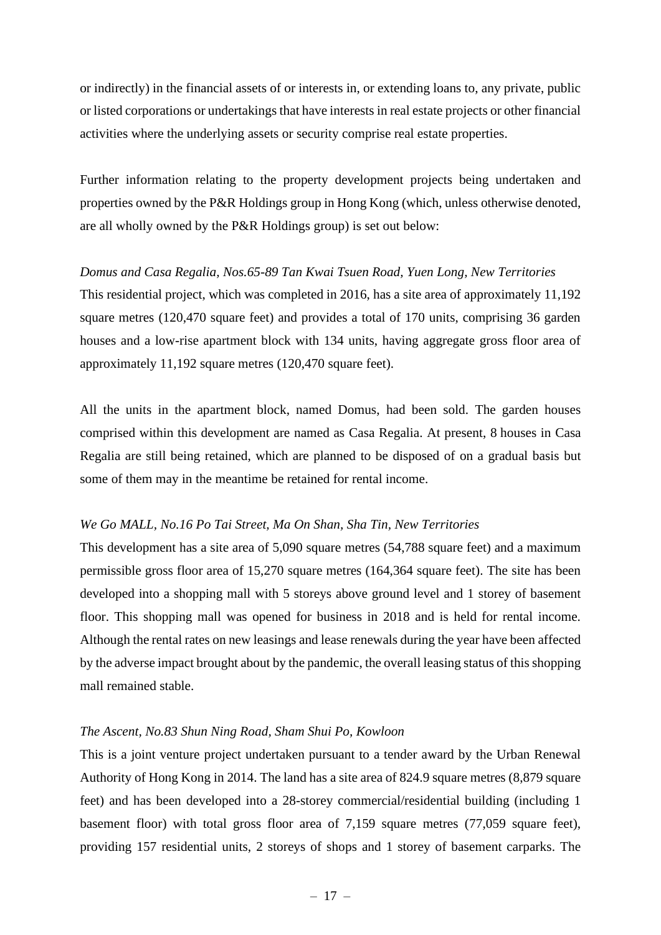or indirectly) in the financial assets of or interests in, or extending loans to, any private, public or listed corporations or undertakings that have interests in real estate projects or other financial activities where the underlying assets or security comprise real estate properties.

Further information relating to the property development projects being undertaken and properties owned by the P&R Holdings group in Hong Kong (which, unless otherwise denoted, are all wholly owned by the P&R Holdings group) is set out below:

# *Domus and Casa Regalia, Nos.65-89 Tan Kwai Tsuen Road, Yuen Long, New Territories* This residential project, which was completed in 2016, has a site area of approximately 11,192 square metres (120,470 square feet) and provides a total of 170 units, comprising 36 garden houses and a low-rise apartment block with 134 units, having aggregate gross floor area of approximately 11,192 square metres (120,470 square feet).

All the units in the apartment block, named Domus, had been sold. The garden houses comprised within this development are named as Casa Regalia. At present, 8 houses in Casa Regalia are still being retained, which are planned to be disposed of on a gradual basis but some of them may in the meantime be retained for rental income.

### *We Go MALL, No.16 Po Tai Street, Ma On Shan, Sha Tin, New Territories*

This development has a site area of 5,090 square metres (54,788 square feet) and a maximum permissible gross floor area of 15,270 square metres (164,364 square feet). The site has been developed into a shopping mall with 5 storeys above ground level and 1 storey of basement floor. This shopping mall was opened for business in 2018 and is held for rental income. Although the rental rates on new leasings and lease renewals during the year have been affected by the adverse impact brought about by the pandemic, the overall leasing status of this shopping mall remained stable.

### *The Ascent, No.83 Shun Ning Road, Sham Shui Po, Kowloon*

This is a joint venture project undertaken pursuant to a tender award by the Urban Renewal Authority of Hong Kong in 2014. The land has a site area of 824.9 square metres (8,879 square feet) and has been developed into a 28-storey commercial/residential building (including 1 basement floor) with total gross floor area of 7,159 square metres (77,059 square feet), providing 157 residential units, 2 storeys of shops and 1 storey of basement carparks. The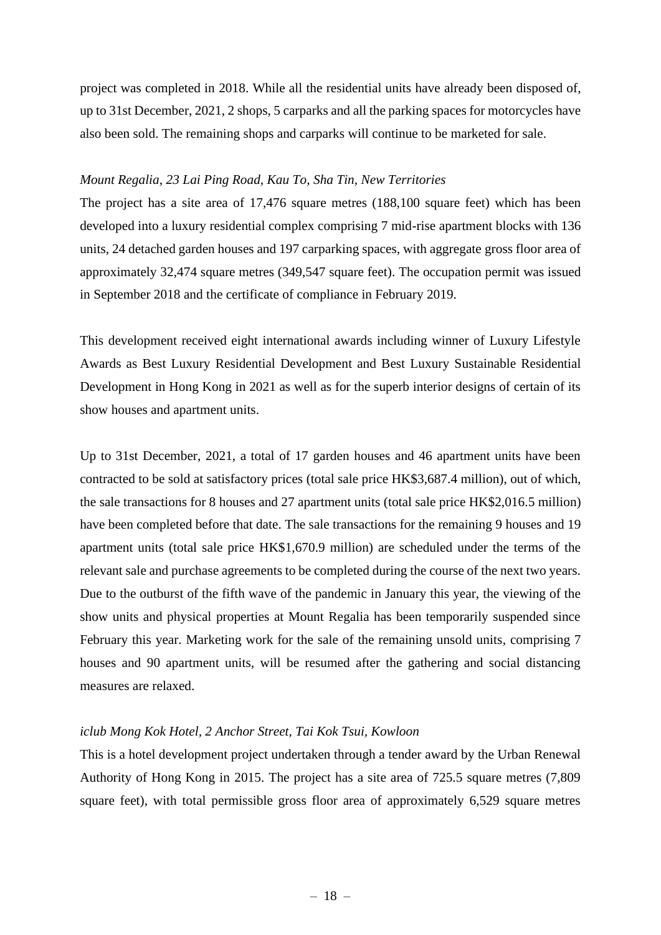project was completed in 2018. While all the residential units have already been disposed of, up to 31st December, 2021, 2 shops, 5 carparks and all the parking spaces for motorcycles have also been sold. The remaining shops and carparks will continue to be marketed for sale.

#### *Mount Regalia, 23 Lai Ping Road, Kau To, Sha Tin, New Territories*

The project has a site area of 17,476 square metres (188,100 square feet) which has been developed into a luxury residential complex comprising 7 mid-rise apartment blocks with 136 units, 24 detached garden houses and 197 carparking spaces, with aggregate gross floor area of approximately 32,474 square metres (349,547 square feet). The occupation permit was issued in September 2018 and the certificate of compliance in February 2019.

This development received eight international awards including winner of Luxury Lifestyle Awards as Best Luxury Residential Development and Best Luxury Sustainable Residential Development in Hong Kong in 2021 as well as for the superb interior designs of certain of its show houses and apartment units.

Up to 31st December, 2021, a total of 17 garden houses and 46 apartment units have been contracted to be sold at satisfactory prices (total sale price HK\$3,687.4 million), out of which, the sale transactions for 8 houses and 27 apartment units (total sale price HK\$2,016.5 million) have been completed before that date. The sale transactions for the remaining 9 houses and 19 apartment units (total sale price HK\$1,670.9 million) are scheduled under the terms of the relevant sale and purchase agreements to be completed during the course of the next two years. Due to the outburst of the fifth wave of the pandemic in January this year, the viewing of the show units and physical properties at Mount Regalia has been temporarily suspended since February this year. Marketing work for the sale of the remaining unsold units, comprising 7 houses and 90 apartment units, will be resumed after the gathering and social distancing measures are relaxed.

### *iclub Mong Kok Hotel, 2 Anchor Street, Tai Kok Tsui, Kowloon*

This is a hotel development project undertaken through a tender award by the Urban Renewal Authority of Hong Kong in 2015. The project has a site area of 725.5 square metres (7,809 square feet), with total permissible gross floor area of approximately 6,529 square metres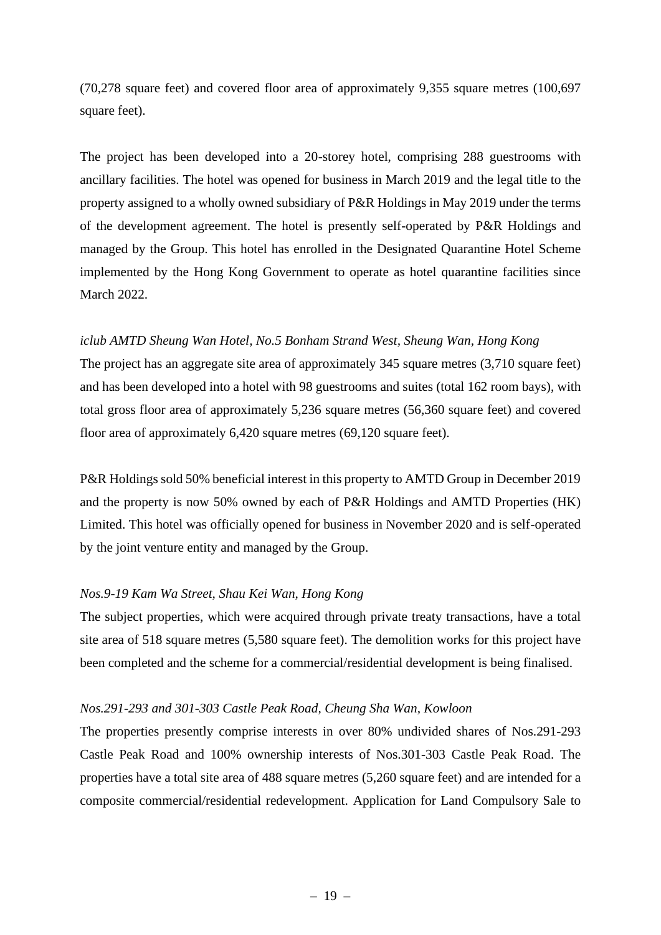(70,278 square feet) and covered floor area of approximately 9,355 square metres (100,697 square feet).

The project has been developed into a 20-storey hotel, comprising 288 guestrooms with ancillary facilities. The hotel was opened for business in March 2019 and the legal title to the property assigned to a wholly owned subsidiary of P&R Holdings in May 2019 under the terms of the development agreement. The hotel is presently self-operated by P&R Holdings and managed by the Group. This hotel has enrolled in the Designated Quarantine Hotel Scheme implemented by the Hong Kong Government to operate as hotel quarantine facilities since March 2022.

## *iclub AMTD Sheung Wan Hotel, No.5 Bonham Strand West, Sheung Wan, Hong Kong*

The project has an aggregate site area of approximately 345 square metres (3,710 square feet) and has been developed into a hotel with 98 guestrooms and suites (total 162 room bays), with total gross floor area of approximately 5,236 square metres (56,360 square feet) and covered floor area of approximately 6,420 square metres (69,120 square feet).

P&R Holdings sold 50% beneficial interest in this property to AMTD Group in December 2019 and the property is now 50% owned by each of P&R Holdings and AMTD Properties (HK) Limited. This hotel was officially opened for business in November 2020 and is self-operated by the joint venture entity and managed by the Group.

### *Nos.9-19 Kam Wa Street, Shau Kei Wan, Hong Kong*

The subject properties, which were acquired through private treaty transactions, have a total site area of 518 square metres (5,580 square feet). The demolition works for this project have been completed and the scheme for a commercial/residential development is being finalised.

### *Nos.291-293 and 301-303 Castle Peak Road, Cheung Sha Wan, Kowloon*

The properties presently comprise interests in over 80% undivided shares of Nos.291-293 Castle Peak Road and 100% ownership interests of Nos.301-303 Castle Peak Road. The properties have a total site area of 488 square metres (5,260 square feet) and are intended for a composite commercial/residential redevelopment. Application for Land Compulsory Sale to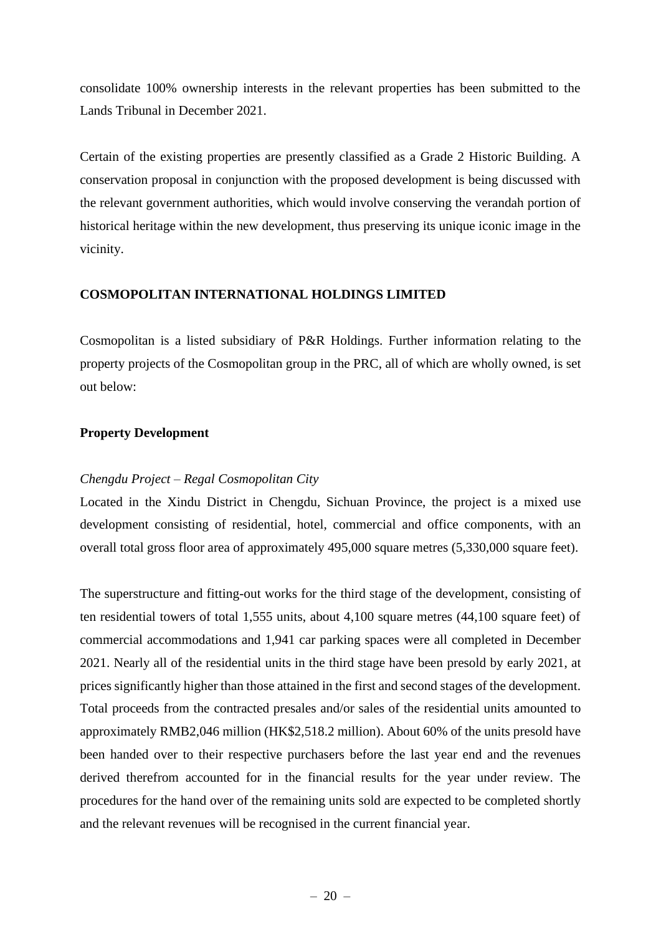consolidate 100% ownership interests in the relevant properties has been submitted to the Lands Tribunal in December 2021.

Certain of the existing properties are presently classified as a Grade 2 Historic Building. A conservation proposal in conjunction with the proposed development is being discussed with the relevant government authorities, which would involve conserving the verandah portion of historical heritage within the new development, thus preserving its unique iconic image in the vicinity.

#### **COSMOPOLITAN INTERNATIONAL HOLDINGS LIMITED**

Cosmopolitan is a listed subsidiary of P&R Holdings. Further information relating to the property projects of the Cosmopolitan group in the PRC, all of which are wholly owned, is set out below:

#### **Property Development**

#### *Chengdu Project – Regal Cosmopolitan City*

Located in the Xindu District in Chengdu, Sichuan Province, the project is a mixed use development consisting of residential, hotel, commercial and office components, with an overall total gross floor area of approximately 495,000 square metres (5,330,000 square feet).

The superstructure and fitting-out works for the third stage of the development, consisting of ten residential towers of total 1,555 units, about 4,100 square metres (44,100 square feet) of commercial accommodations and 1,941 car parking spaces were all completed in December 2021. Nearly all of the residential units in the third stage have been presold by early 2021, at prices significantly higher than those attained in the first and second stages of the development. Total proceeds from the contracted presales and/or sales of the residential units amounted to approximately RMB2,046 million (HK\$2,518.2 million). About 60% of the units presold have been handed over to their respective purchasers before the last year end and the revenues derived therefrom accounted for in the financial results for the year under review. The procedures for the hand over of the remaining units sold are expected to be completed shortly and the relevant revenues will be recognised in the current financial year.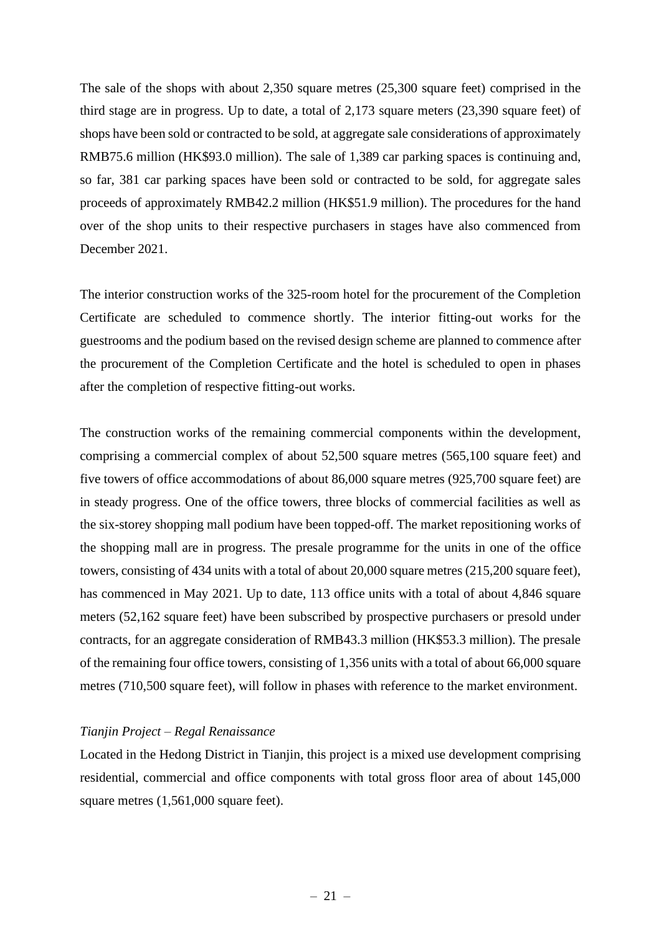The sale of the shops with about 2,350 square metres (25,300 square feet) comprised in the third stage are in progress. Up to date, a total of 2,173 square meters (23,390 square feet) of shops have been sold or contracted to be sold, at aggregate sale considerations of approximately RMB75.6 million (HK\$93.0 million). The sale of 1,389 car parking spaces is continuing and, so far, 381 car parking spaces have been sold or contracted to be sold, for aggregate sales proceeds of approximately RMB42.2 million (HK\$51.9 million). The procedures for the hand over of the shop units to their respective purchasers in stages have also commenced from December 2021.

The interior construction works of the 325-room hotel for the procurement of the Completion Certificate are scheduled to commence shortly. The interior fitting-out works for the guestrooms and the podium based on the revised design scheme are planned to commence after the procurement of the Completion Certificate and the hotel is scheduled to open in phases after the completion of respective fitting-out works.

The construction works of the remaining commercial components within the development, comprising a commercial complex of about 52,500 square metres (565,100 square feet) and five towers of office accommodations of about 86,000 square metres (925,700 square feet) are in steady progress. One of the office towers, three blocks of commercial facilities as well as the six-storey shopping mall podium have been topped-off. The market repositioning works of the shopping mall are in progress. The presale programme for the units in one of the office towers, consisting of 434 units with a total of about 20,000 square metres (215,200 square feet), has commenced in May 2021. Up to date, 113 office units with a total of about 4,846 square meters (52,162 square feet) have been subscribed by prospective purchasers or presold under contracts, for an aggregate consideration of RMB43.3 million (HK\$53.3 million). The presale of the remaining four office towers, consisting of 1,356 units with a total of about 66,000 square metres (710,500 square feet), will follow in phases with reference to the market environment.

#### *Tianjin Project – Regal Renaissance*

Located in the Hedong District in Tianjin, this project is a mixed use development comprising residential, commercial and office components with total gross floor area of about 145,000 square metres  $(1,561,000)$  square feet).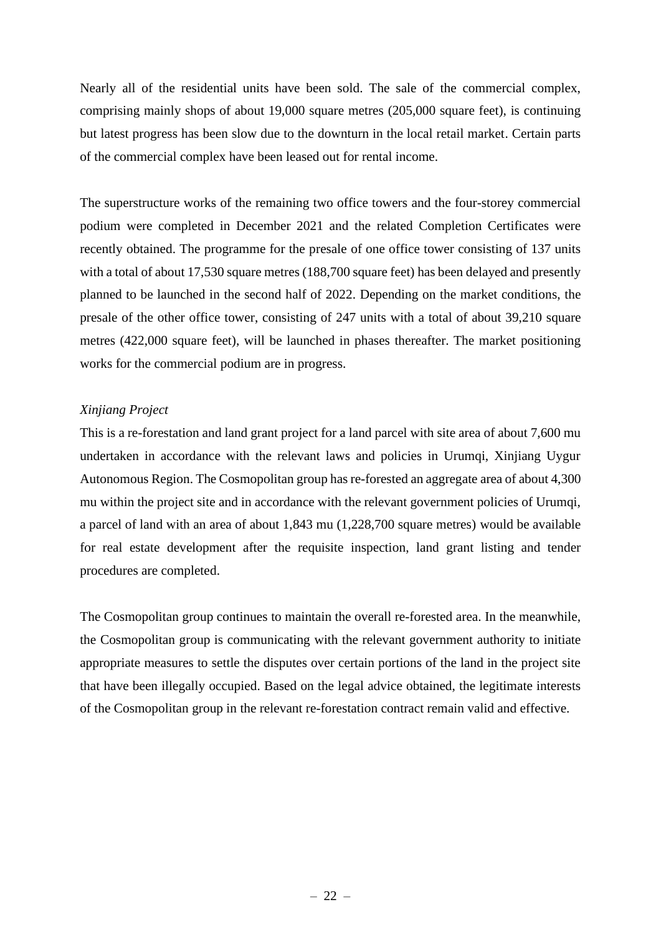Nearly all of the residential units have been sold. The sale of the commercial complex, comprising mainly shops of about 19,000 square metres (205,000 square feet), is continuing but latest progress has been slow due to the downturn in the local retail market. Certain parts of the commercial complex have been leased out for rental income.

The superstructure works of the remaining two office towers and the four-storey commercial podium were completed in December 2021 and the related Completion Certificates were recently obtained. The programme for the presale of one office tower consisting of 137 units with a total of about 17,530 square metres (188,700 square feet) has been delayed and presently planned to be launched in the second half of 2022. Depending on the market conditions, the presale of the other office tower, consisting of 247 units with a total of about 39,210 square metres (422,000 square feet), will be launched in phases thereafter. The market positioning works for the commercial podium are in progress.

### *Xinjiang Project*

This is a re-forestation and land grant project for a land parcel with site area of about 7,600 mu undertaken in accordance with the relevant laws and policies in Urumqi, Xinjiang Uygur Autonomous Region. The Cosmopolitan group has re-forested an aggregate area of about 4,300 mu within the project site and in accordance with the relevant government policies of Urumqi, a parcel of land with an area of about 1,843 mu (1,228,700 square metres) would be available for real estate development after the requisite inspection, land grant listing and tender procedures are completed.

The Cosmopolitan group continues to maintain the overall re-forested area. In the meanwhile, the Cosmopolitan group is communicating with the relevant government authority to initiate appropriate measures to settle the disputes over certain portions of the land in the project site that have been illegally occupied. Based on the legal advice obtained, the legitimate interests of the Cosmopolitan group in the relevant re-forestation contract remain valid and effective.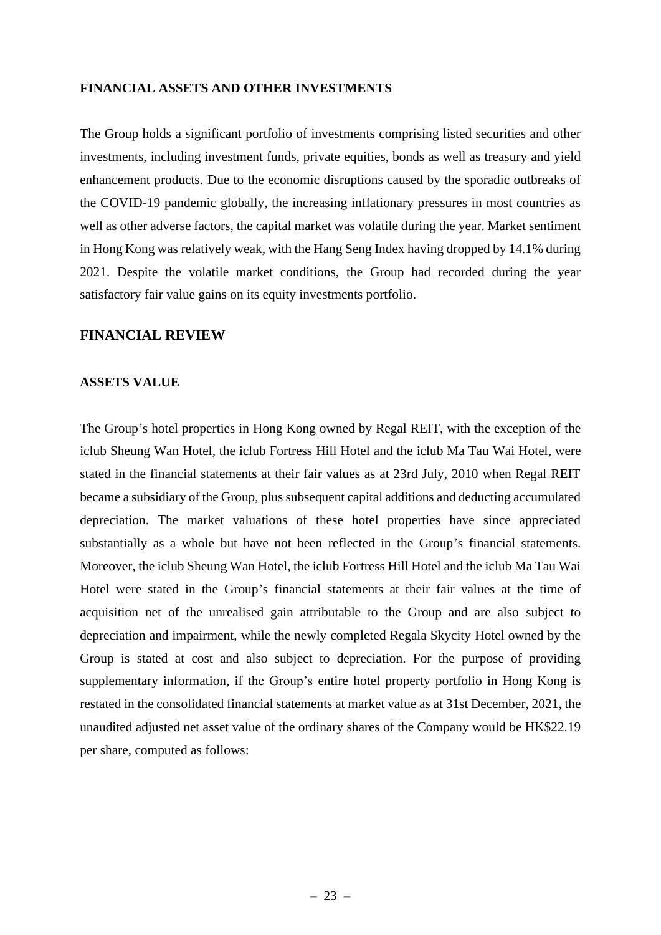#### **FINANCIAL ASSETS AND OTHER INVESTMENTS**

The Group holds a significant portfolio of investments comprising listed securities and other investments, including investment funds, private equities, bonds as well as treasury and yield enhancement products. Due to the economic disruptions caused by the sporadic outbreaks of the COVID-19 pandemic globally, the increasing inflationary pressures in most countries as well as other adverse factors, the capital market was volatile during the year. Market sentiment in Hong Kong was relatively weak, with the Hang Seng Index having dropped by 14.1% during 2021. Despite the volatile market conditions, the Group had recorded during the year satisfactory fair value gains on its equity investments portfolio.

# **FINANCIAL REVIEW**

#### **ASSETS VALUE**

The Group's hotel properties in Hong Kong owned by Regal REIT, with the exception of the iclub Sheung Wan Hotel, the iclub Fortress Hill Hotel and the iclub Ma Tau Wai Hotel, were stated in the financial statements at their fair values as at 23rd July, 2010 when Regal REIT became a subsidiary of the Group, plus subsequent capital additions and deducting accumulated depreciation. The market valuations of these hotel properties have since appreciated substantially as a whole but have not been reflected in the Group's financial statements. Moreover, the iclub Sheung Wan Hotel, the iclub Fortress Hill Hotel and the iclub Ma Tau Wai Hotel were stated in the Group's financial statements at their fair values at the time of acquisition net of the unrealised gain attributable to the Group and are also subject to depreciation and impairment, while the newly completed Regala Skycity Hotel owned by the Group is stated at cost and also subject to depreciation. For the purpose of providing supplementary information, if the Group's entire hotel property portfolio in Hong Kong is restated in the consolidated financial statements at market value as at 31st December, 2021, the unaudited adjusted net asset value of the ordinary shares of the Company would be HK\$22.19 per share, computed as follows: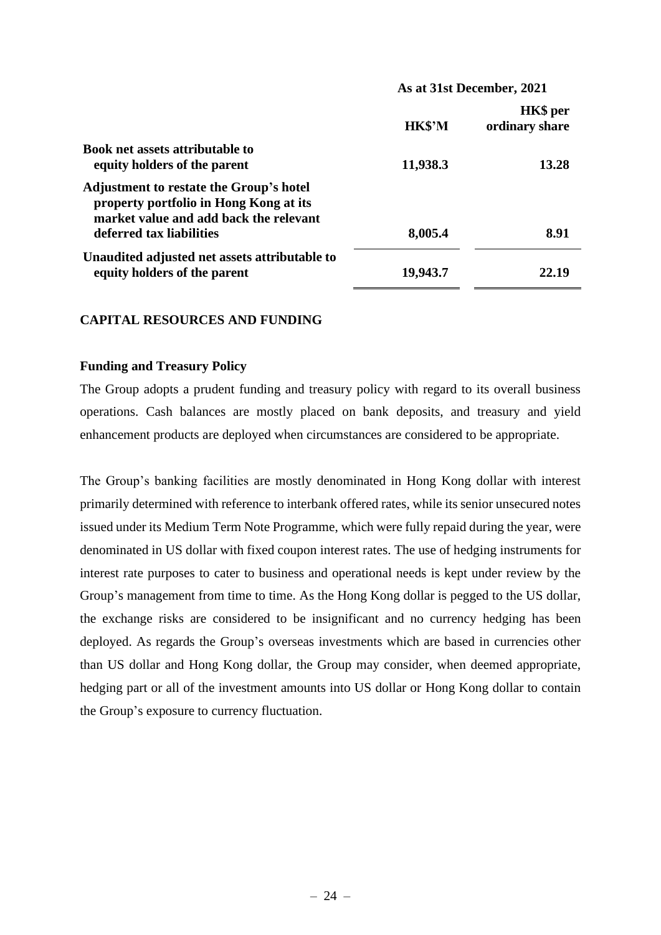|                                                                                                                                    | As at 31st December, 2021 |                                   |  |  |
|------------------------------------------------------------------------------------------------------------------------------------|---------------------------|-----------------------------------|--|--|
|                                                                                                                                    | HK\$'M                    | <b>HK\$</b> per<br>ordinary share |  |  |
| <b>Book net assets attributable to</b>                                                                                             |                           |                                   |  |  |
| equity holders of the parent                                                                                                       | 11,938.3                  | 13.28                             |  |  |
| <b>Adjustment to restate the Group's hotel</b><br>property portfolio in Hong Kong at its<br>market value and add back the relevant |                           |                                   |  |  |
| deferred tax liabilities                                                                                                           | 8,005.4                   | 8.91                              |  |  |
| Unaudited adjusted net assets attributable to<br>equity holders of the parent                                                      | 19,943.7                  | 22.19                             |  |  |

## **CAPITAL RESOURCES AND FUNDING**

#### **Funding and Treasury Policy**

The Group adopts a prudent funding and treasury policy with regard to its overall business operations. Cash balances are mostly placed on bank deposits, and treasury and yield enhancement products are deployed when circumstances are considered to be appropriate.

The Group's banking facilities are mostly denominated in Hong Kong dollar with interest primarily determined with reference to interbank offered rates, while its senior unsecured notes issued under its Medium Term Note Programme, which were fully repaid during the year, were denominated in US dollar with fixed coupon interest rates. The use of hedging instruments for interest rate purposes to cater to business and operational needs is kept under review by the Group's management from time to time. As the Hong Kong dollar is pegged to the US dollar, the exchange risks are considered to be insignificant and no currency hedging has been deployed. As regards the Group's overseas investments which are based in currencies other than US dollar and Hong Kong dollar, the Group may consider, when deemed appropriate, hedging part or all of the investment amounts into US dollar or Hong Kong dollar to contain the Group's exposure to currency fluctuation.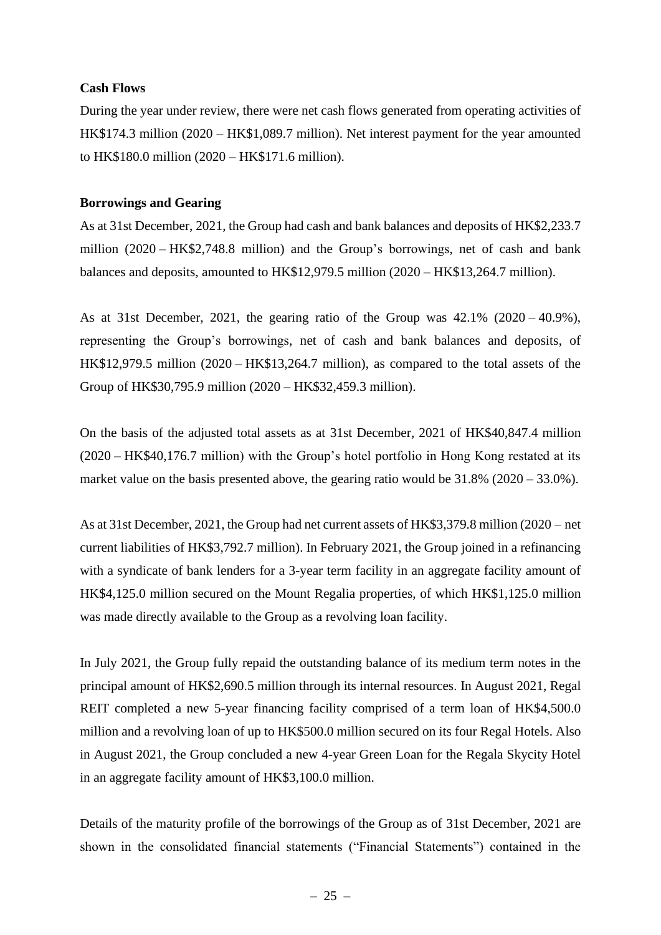### **Cash Flows**

During the year under review, there were net cash flows generated from operating activities of HK\$174.3 million (2020 – HK\$1,089.7 million). Net interest payment for the year amounted to HK\$180.0 million (2020 – HK\$171.6 million).

# **Borrowings and Gearing**

As at 31st December, 2021, the Group had cash and bank balances and deposits of HK\$2,233.7 million (2020 – HK\$2,748.8 million) and the Group's borrowings, net of cash and bank balances and deposits, amounted to HK\$12,979.5 million (2020 – HK\$13,264.7 million).

As at 31st December, 2021, the gearing ratio of the Group was 42.1% (2020 – 40.9%), representing the Group's borrowings, net of cash and bank balances and deposits, of HK\$12,979.5 million (2020 – HK\$13,264.7 million), as compared to the total assets of the Group of HK\$30,795.9 million (2020 – HK\$32,459.3 million).

On the basis of the adjusted total assets as at 31st December, 2021 of HK\$40,847.4 million (2020 – HK\$40,176.7 million) with the Group's hotel portfolio in Hong Kong restated at its market value on the basis presented above, the gearing ratio would be 31.8% (2020 – 33.0%).

As at 31st December, 2021, the Group had net current assets of HK\$3,379.8 million (2020 – net current liabilities of HK\$3,792.7 million). In February 2021, the Group joined in a refinancing with a syndicate of bank lenders for a 3-year term facility in an aggregate facility amount of HK\$4,125.0 million secured on the Mount Regalia properties, of which HK\$1,125.0 million was made directly available to the Group as a revolving loan facility.

In July 2021, the Group fully repaid the outstanding balance of its medium term notes in the principal amount of HK\$2,690.5 million through its internal resources. In August 2021, Regal REIT completed a new 5-year financing facility comprised of a term loan of HK\$4,500.0 million and a revolving loan of up to HK\$500.0 million secured on its four Regal Hotels. Also in August 2021, the Group concluded a new 4-year Green Loan for the Regala Skycity Hotel in an aggregate facility amount of HK\$3,100.0 million.

Details of the maturity profile of the borrowings of the Group as of 31st December, 2021 are shown in the consolidated financial statements ("Financial Statements") contained in the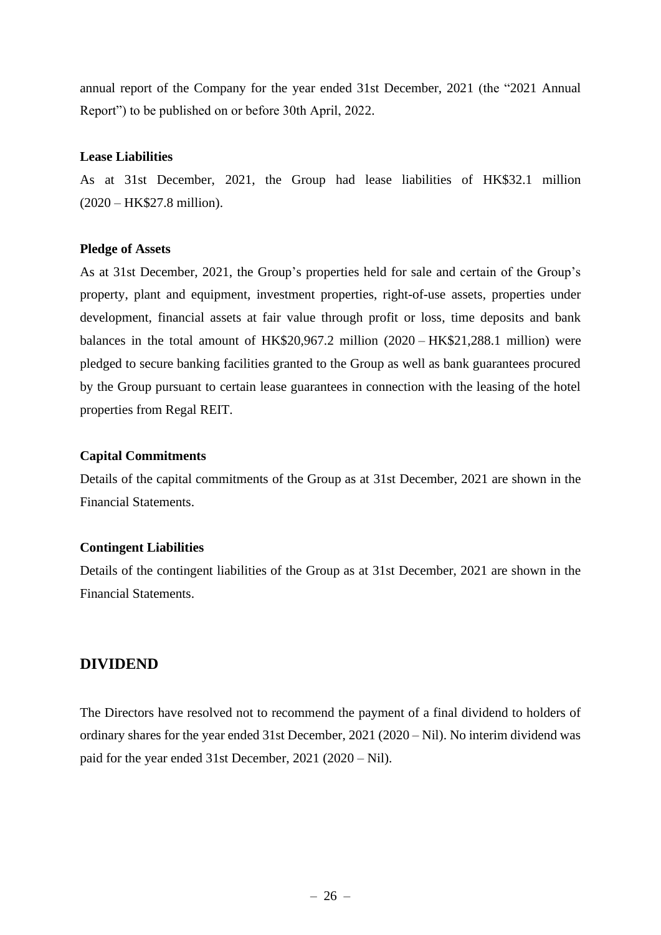annual report of the Company for the year ended 31st December, 2021 (the "2021 Annual Report") to be published on or before 30th April, 2022.

# **Lease Liabilities**

As at 31st December, 2021, the Group had lease liabilities of HK\$32.1 million (2020 – HK\$27.8 million).

## **Pledge of Assets**

As at 31st December, 2021, the Group's properties held for sale and certain of the Group's property, plant and equipment, investment properties, right-of-use assets, properties under development, financial assets at fair value through profit or loss, time deposits and bank balances in the total amount of HK\$20,967.2 million (2020 – HK\$21,288.1 million) were pledged to secure banking facilities granted to the Group as well as bank guarantees procured by the Group pursuant to certain lease guarantees in connection with the leasing of the hotel properties from Regal REIT.

## **Capital Commitments**

Details of the capital commitments of the Group as at 31st December, 2021 are shown in the Financial Statements.

### **Contingent Liabilities**

Details of the contingent liabilities of the Group as at 31st December, 2021 are shown in the Financial Statements.

# **DIVIDEND**

The Directors have resolved not to recommend the payment of a final dividend to holders of ordinary shares for the year ended 31st December, 2021 (2020 – Nil). No interim dividend was paid for the year ended 31st December, 2021 (2020 – Nil).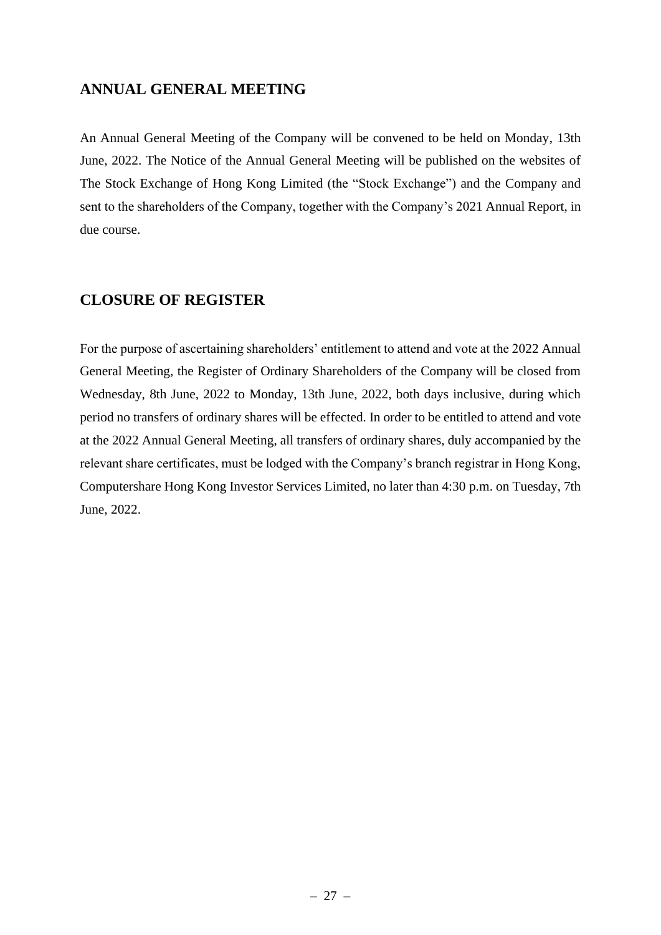# **ANNUAL GENERAL MEETING**

An Annual General Meeting of the Company will be convened to be held on Monday, 13th June, 2022. The Notice of the Annual General Meeting will be published on the websites of The Stock Exchange of Hong Kong Limited (the "Stock Exchange") and the Company and sent to the shareholders of the Company, together with the Company's 2021 Annual Report, in due course.

# **CLOSURE OF REGISTER**

For the purpose of ascertaining shareholders' entitlement to attend and vote at the 2022 Annual General Meeting, the Register of Ordinary Shareholders of the Company will be closed from Wednesday, 8th June, 2022 to Monday, 13th June, 2022, both days inclusive, during which period no transfers of ordinary shares will be effected. In order to be entitled to attend and vote at the 2022 Annual General Meeting, all transfers of ordinary shares, duly accompanied by the relevant share certificates, must be lodged with the Company's branch registrar in Hong Kong, Computershare Hong Kong Investor Services Limited, no later than 4:30 p.m. on Tuesday, 7th June, 2022.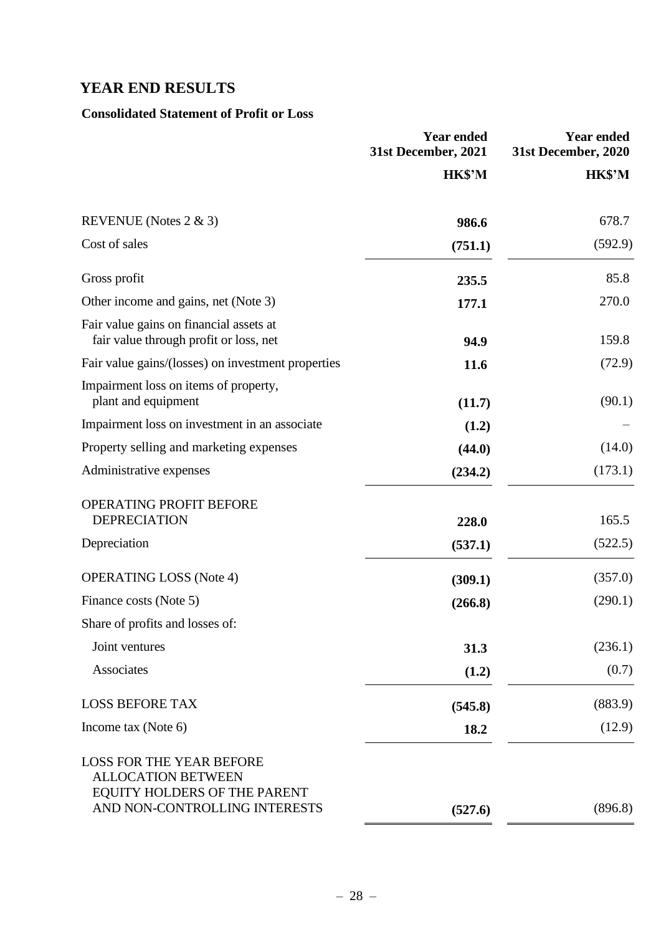# **YEAR END RESULTS**

# **Consolidated Statement of Profit or Loss**

|                                                                                                                               | <b>Year ended</b><br>31st December, 2021 | <b>Year ended</b><br>31st December, 2020 |
|-------------------------------------------------------------------------------------------------------------------------------|------------------------------------------|------------------------------------------|
|                                                                                                                               | HK\$'M                                   | HK\$'M                                   |
| REVENUE (Notes $2 \& 3$ )                                                                                                     | 986.6                                    | 678.7                                    |
| Cost of sales                                                                                                                 | (751.1)                                  | (592.9)                                  |
| Gross profit                                                                                                                  | 235.5                                    | 85.8                                     |
| Other income and gains, net (Note 3)                                                                                          | 177.1                                    | 270.0                                    |
| Fair value gains on financial assets at<br>fair value through profit or loss, net                                             | 94.9                                     | 159.8                                    |
| Fair value gains/(losses) on investment properties                                                                            | 11.6                                     | (72.9)                                   |
| Impairment loss on items of property,<br>plant and equipment                                                                  | (11.7)                                   | (90.1)                                   |
| Impairment loss on investment in an associate                                                                                 | (1.2)                                    |                                          |
| Property selling and marketing expenses                                                                                       | (44.0)                                   | (14.0)                                   |
| Administrative expenses                                                                                                       | (234.2)                                  | (173.1)                                  |
| OPERATING PROFIT BEFORE<br><b>DEPRECIATION</b>                                                                                | 228.0                                    | 165.5                                    |
| Depreciation                                                                                                                  | (537.1)                                  | (522.5)                                  |
| <b>OPERATING LOSS (Note 4)</b>                                                                                                | (309.1)                                  | (357.0)                                  |
| Finance costs (Note 5)                                                                                                        | (266.8)                                  | (290.1)                                  |
| Share of profits and losses of:                                                                                               |                                          |                                          |
| Joint ventures                                                                                                                | 31.3                                     | (236.1)                                  |
| Associates                                                                                                                    | (1.2)                                    | (0.7)                                    |
| <b>LOSS BEFORE TAX</b>                                                                                                        | (545.8)                                  | (883.9)                                  |
| Income tax (Note 6)                                                                                                           | 18.2                                     | (12.9)                                   |
| <b>LOSS FOR THE YEAR BEFORE</b><br><b>ALLOCATION BETWEEN</b><br>EQUITY HOLDERS OF THE PARENT<br>AND NON-CONTROLLING INTERESTS | (527.6)                                  | (896.8)                                  |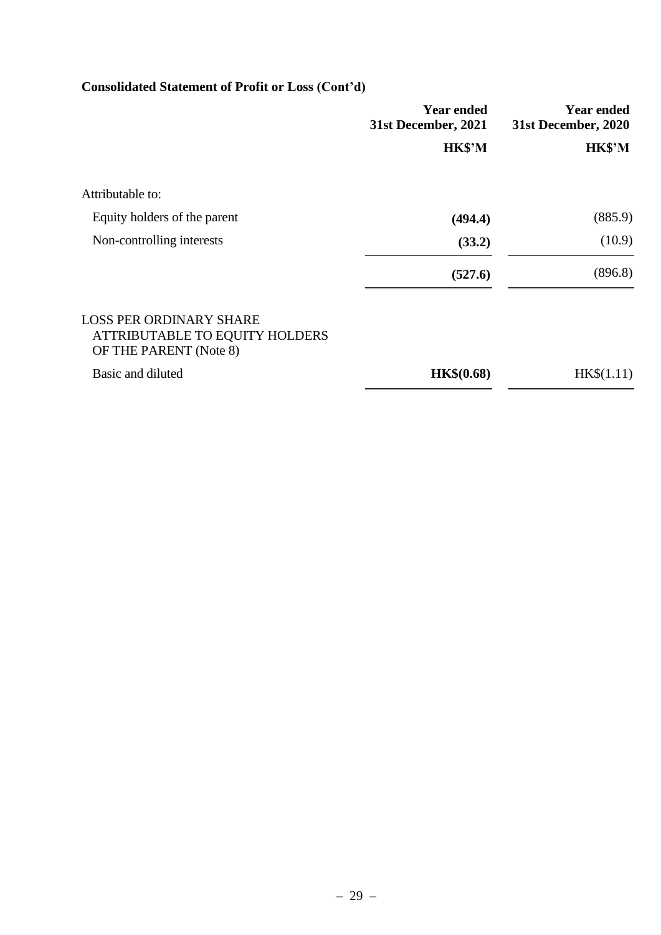# **Consolidated Statement of Profit or Loss (Cont'd)**

|                                                                                            | <b>Year ended</b><br>31st December, 2021 | <b>Year ended</b><br>31st December, 2020 |
|--------------------------------------------------------------------------------------------|------------------------------------------|------------------------------------------|
|                                                                                            | HK\$'M                                   | HK\$'M                                   |
| Attributable to:                                                                           |                                          |                                          |
| Equity holders of the parent                                                               | (494.4)                                  | (885.9)                                  |
| Non-controlling interests                                                                  | (33.2)                                   | (10.9)                                   |
|                                                                                            | (527.6)                                  | (896.8)                                  |
| <b>LOSS PER ORDINARY SHARE</b><br>ATTRIBUTABLE TO EQUITY HOLDERS<br>OF THE PARENT (Note 8) |                                          |                                          |
| Basic and diluted                                                                          | <b>HK\$(0.68)</b>                        | HK\$(1.11)                               |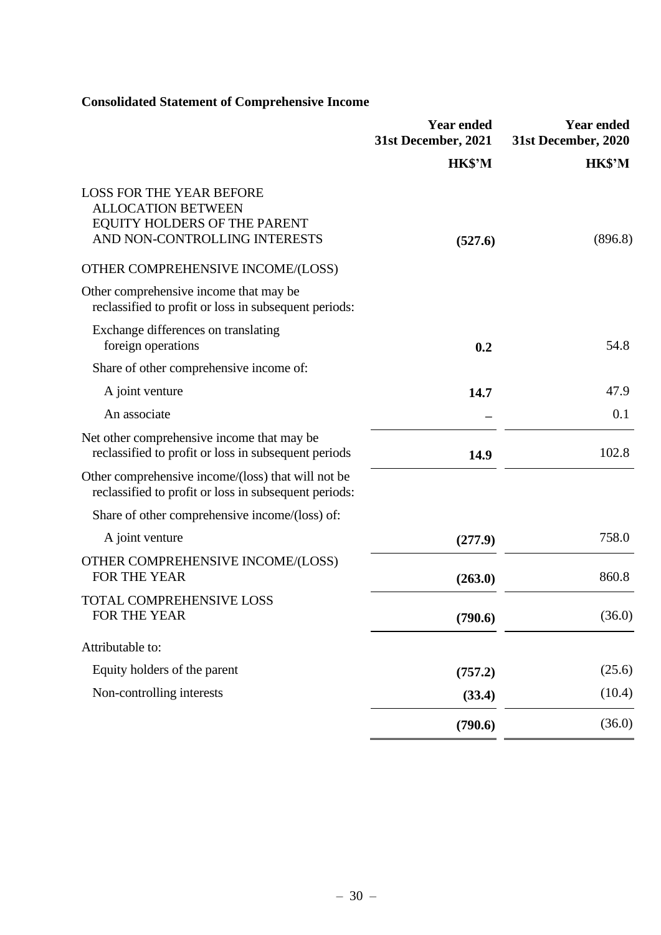# **Consolidated Statement of Comprehensive Income**

|                                                                                                                               | <b>Year ended</b><br>31st December, 2021 | <b>Year ended</b><br>31st December, 2020 |
|-------------------------------------------------------------------------------------------------------------------------------|------------------------------------------|------------------------------------------|
|                                                                                                                               | HK\$'M                                   | HK\$'M                                   |
| <b>LOSS FOR THE YEAR BEFORE</b><br><b>ALLOCATION BETWEEN</b><br>EQUITY HOLDERS OF THE PARENT<br>AND NON-CONTROLLING INTERESTS | (527.6)                                  | (896.8)                                  |
| OTHER COMPREHENSIVE INCOME/(LOSS)                                                                                             |                                          |                                          |
| Other comprehensive income that may be<br>reclassified to profit or loss in subsequent periods:                               |                                          |                                          |
| Exchange differences on translating<br>foreign operations                                                                     | 0.2                                      | 54.8                                     |
| Share of other comprehensive income of:                                                                                       |                                          |                                          |
| A joint venture                                                                                                               | 14.7                                     | 47.9                                     |
| An associate                                                                                                                  |                                          | 0.1                                      |
| Net other comprehensive income that may be<br>reclassified to profit or loss in subsequent periods                            | 14.9                                     | 102.8                                    |
| Other comprehensive income/(loss) that will not be<br>reclassified to profit or loss in subsequent periods:                   |                                          |                                          |
| Share of other comprehensive income/(loss) of:                                                                                |                                          |                                          |
| A joint venture                                                                                                               | (277.9)                                  | 758.0                                    |
| OTHER COMPREHENSIVE INCOME/(LOSS)<br>FOR THE YEAR                                                                             | (263.0)                                  | 860.8                                    |
| <b>TOTAL COMPREHENSIVE LOSS</b><br>FOR THE YEAR                                                                               | (790.6)                                  | (36.0)                                   |
| Attributable to:                                                                                                              |                                          |                                          |
| Equity holders of the parent                                                                                                  | (757.2)                                  | (25.6)                                   |
| Non-controlling interests                                                                                                     | (33.4)                                   | (10.4)                                   |
|                                                                                                                               | (790.6)                                  | (36.0)                                   |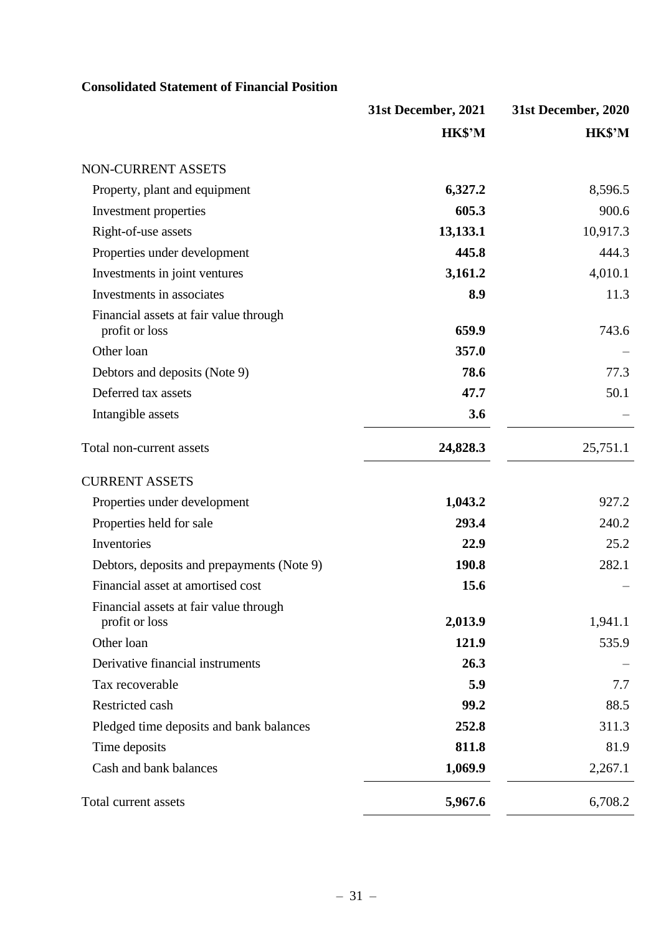# **Consolidated Statement of Financial Position**

|                                                          | 31st December, 2021 | 31st December, 2020 |
|----------------------------------------------------------|---------------------|---------------------|
|                                                          | HK\$'M              | HK\$'M              |
| NON-CURRENT ASSETS                                       |                     |                     |
| Property, plant and equipment                            | 6,327.2             | 8,596.5             |
| Investment properties                                    | 605.3               | 900.6               |
| Right-of-use assets                                      | 13,133.1            | 10,917.3            |
| Properties under development                             | 445.8               | 444.3               |
| Investments in joint ventures                            | 3,161.2             | 4,010.1             |
| Investments in associates                                | 8.9                 | 11.3                |
| Financial assets at fair value through<br>profit or loss | 659.9               | 743.6               |
| Other loan                                               | 357.0               |                     |
| Debtors and deposits (Note 9)                            | 78.6                | 77.3                |
| Deferred tax assets                                      | 47.7                | 50.1                |
| Intangible assets                                        | 3.6                 |                     |
| Total non-current assets                                 | 24,828.3            | 25,751.1            |
| <b>CURRENT ASSETS</b>                                    |                     |                     |
| Properties under development                             | 1,043.2             | 927.2               |
| Properties held for sale                                 | 293.4               | 240.2               |
| Inventories                                              | 22.9                | 25.2                |
| Debtors, deposits and prepayments (Note 9)               | 190.8               | 282.1               |
| Financial asset at amortised cost                        | 15.6                |                     |
| Financial assets at fair value through<br>profit or loss | 2,013.9             | 1,941.1             |
| Other loan                                               | 121.9               | 535.9               |
| Derivative financial instruments                         | 26.3                |                     |
| Tax recoverable                                          | 5.9                 | 7.7                 |
| Restricted cash                                          | 99.2                | 88.5                |
| Pledged time deposits and bank balances                  | 252.8               | 311.3               |
| Time deposits                                            | 811.8               | 81.9                |
| Cash and bank balances                                   | 1,069.9             | 2,267.1             |
| Total current assets                                     | 5,967.6             | 6,708.2             |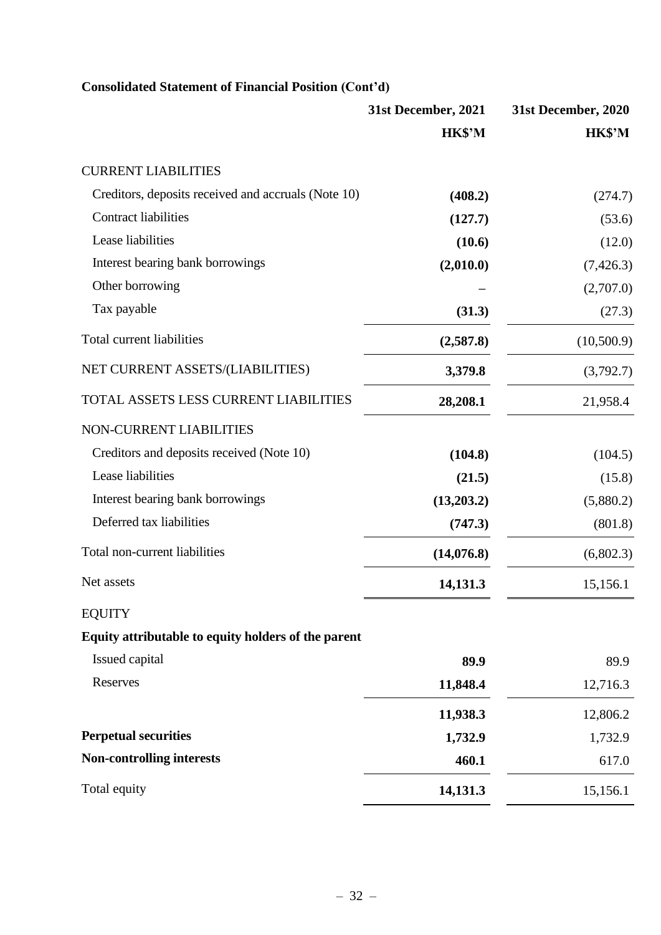|                                                     | 31st December, 2021 | 31st December, 2020 |
|-----------------------------------------------------|---------------------|---------------------|
|                                                     | HK\$'M              | HK\$'M              |
| <b>CURRENT LIABILITIES</b>                          |                     |                     |
| Creditors, deposits received and accruals (Note 10) | (408.2)             | (274.7)             |
| <b>Contract liabilities</b>                         | (127.7)             | (53.6)              |
| Lease liabilities                                   | (10.6)              | (12.0)              |
| Interest bearing bank borrowings                    | (2,010.0)           | (7, 426.3)          |
| Other borrowing                                     |                     | (2,707.0)           |
| Tax payable                                         | (31.3)              | (27.3)              |
| Total current liabilities                           | (2,587.8)           | (10,500.9)          |
| NET CURRENT ASSETS/(LIABILITIES)                    | 3,379.8             | (3,792.7)           |
| TOTAL ASSETS LESS CURRENT LIABILITIES               | 28,208.1            | 21,958.4            |
| NON-CURRENT LIABILITIES                             |                     |                     |
| Creditors and deposits received (Note 10)           | (104.8)             | (104.5)             |
| Lease liabilities                                   | (21.5)              | (15.8)              |
| Interest bearing bank borrowings                    | (13,203.2)          | (5,880.2)           |
| Deferred tax liabilities                            | (747.3)             | (801.8)             |
| Total non-current liabilities                       | (14,076.8)          | (6,802.3)           |
| Net assets                                          | 14,131.3            | 15,156.1            |
| <b>EQUITY</b>                                       |                     |                     |
| Equity attributable to equity holders of the parent |                     |                     |
| Issued capital                                      | 89.9                | 89.9                |
| Reserves                                            | 11,848.4            | 12,716.3            |
|                                                     | 11,938.3            | 12,806.2            |
| <b>Perpetual securities</b>                         | 1,732.9             | 1,732.9             |
| <b>Non-controlling interests</b>                    | 460.1               | 617.0               |
| Total equity                                        | 14,131.3            | 15,156.1            |

# **Consolidated Statement of Financial Position (Cont'd)**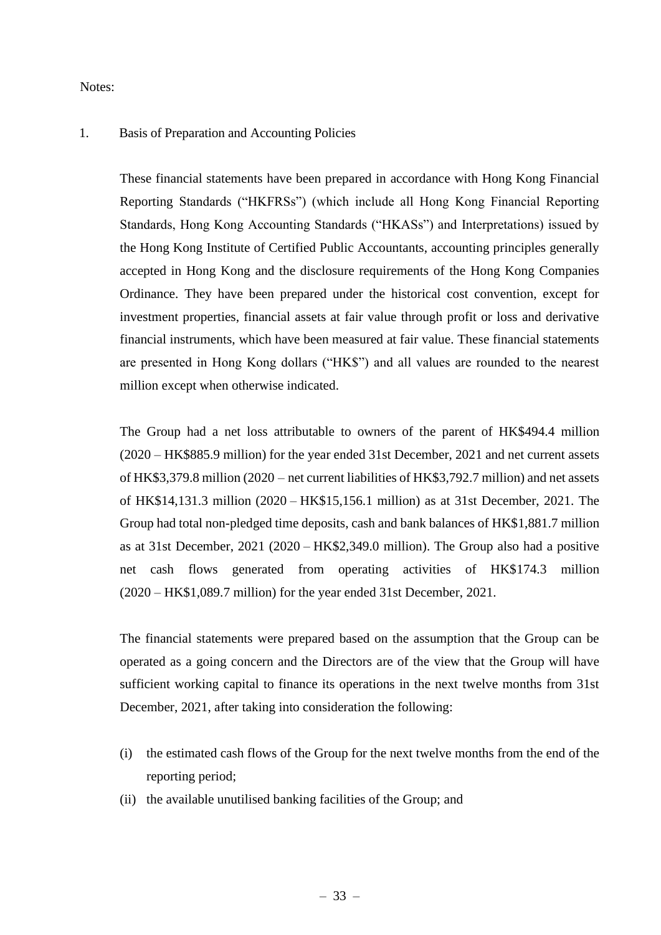Notes:

### 1. Basis of Preparation and Accounting Policies

These financial statements have been prepared in accordance with Hong Kong Financial Reporting Standards ("HKFRSs") (which include all Hong Kong Financial Reporting Standards, Hong Kong Accounting Standards ("HKASs") and Interpretations) issued by the Hong Kong Institute of Certified Public Accountants, accounting principles generally accepted in Hong Kong and the disclosure requirements of the Hong Kong Companies Ordinance. They have been prepared under the historical cost convention, except for investment properties, financial assets at fair value through profit or loss and derivative financial instruments, which have been measured at fair value. These financial statements are presented in Hong Kong dollars ("HK\$") and all values are rounded to the nearest million except when otherwise indicated.

The Group had a net loss attributable to owners of the parent of HK\$494.4 million (2020 – HK\$885.9 million) for the year ended 31st December, 2021 and net current assets of HK\$3,379.8 million (2020 – net current liabilities of HK\$3,792.7 million) and net assets of HK\$14,131.3 million (2020 – HK\$15,156.1 million) as at 31st December, 2021. The Group had total non-pledged time deposits, cash and bank balances of HK\$1,881.7 million as at 31st December, 2021 (2020 – HK\$2,349.0 million). The Group also had a positive net cash flows generated from operating activities of HK\$174.3 million (2020 – HK\$1,089.7 million) for the year ended 31st December, 2021.

The financial statements were prepared based on the assumption that the Group can be operated as a going concern and the Directors are of the view that the Group will have sufficient working capital to finance its operations in the next twelve months from 31st December, 2021, after taking into consideration the following:

- (i) the estimated cash flows of the Group for the next twelve months from the end of the reporting period;
- (ii) the available unutilised banking facilities of the Group; and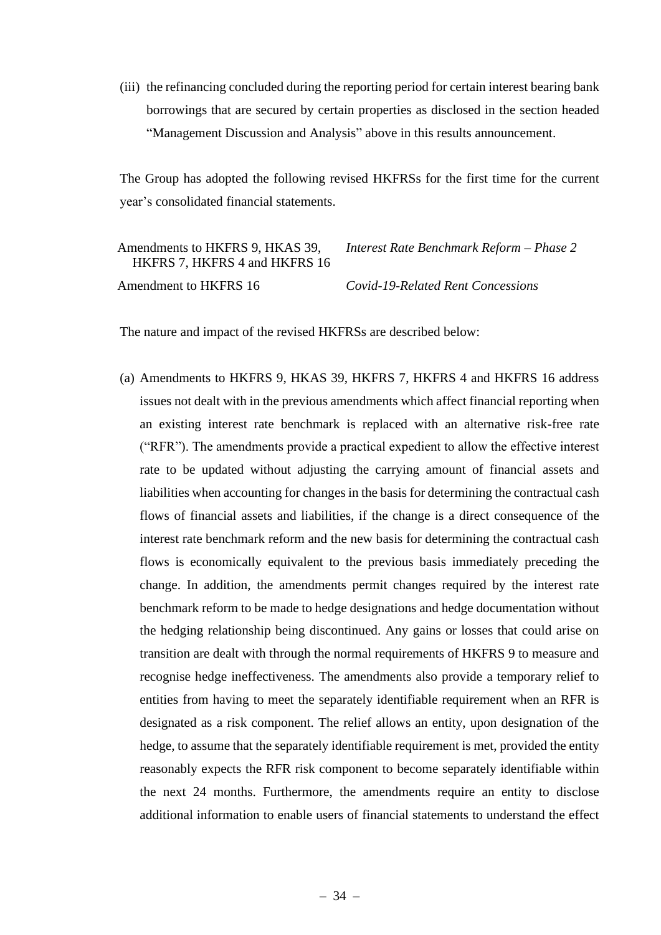(iii) the refinancing concluded during the reporting period for certain interest bearing bank borrowings that are secured by certain properties as disclosed in the section headed "Management Discussion and Analysis" above in this results announcement.

The Group has adopted the following revised HKFRSs for the first time for the current year's consolidated financial statements.

| Amendments to HKFRS 9, HKAS 39,<br>HKFRS 7, HKFRS 4 and HKFRS 16 | Interest Rate Benchmark Reform - Phase 2 |
|------------------------------------------------------------------|------------------------------------------|
| Amendment to HKFRS 16                                            | Covid-19-Related Rent Concessions        |

The nature and impact of the revised HKFRSs are described below:

(a) Amendments to HKFRS 9, HKAS 39, HKFRS 7, HKFRS 4 and HKFRS 16 address issues not dealt with in the previous amendments which affect financial reporting when an existing interest rate benchmark is replaced with an alternative risk-free rate ("RFR"). The amendments provide a practical expedient to allow the effective interest rate to be updated without adjusting the carrying amount of financial assets and liabilities when accounting for changes in the basis for determining the contractual cash flows of financial assets and liabilities, if the change is a direct consequence of the interest rate benchmark reform and the new basis for determining the contractual cash flows is economically equivalent to the previous basis immediately preceding the change. In addition, the amendments permit changes required by the interest rate benchmark reform to be made to hedge designations and hedge documentation without the hedging relationship being discontinued. Any gains or losses that could arise on transition are dealt with through the normal requirements of HKFRS 9 to measure and recognise hedge ineffectiveness. The amendments also provide a temporary relief to entities from having to meet the separately identifiable requirement when an RFR is designated as a risk component. The relief allows an entity, upon designation of the hedge, to assume that the separately identifiable requirement is met, provided the entity reasonably expects the RFR risk component to become separately identifiable within the next 24 months. Furthermore, the amendments require an entity to disclose additional information to enable users of financial statements to understand the effect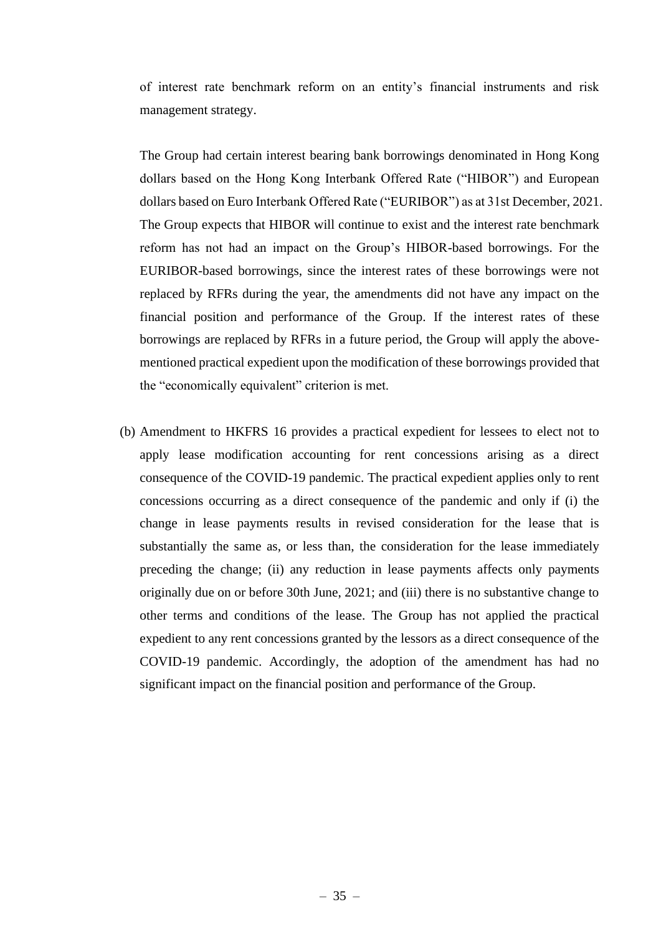of interest rate benchmark reform on an entity's financial instruments and risk management strategy.

The Group had certain interest bearing bank borrowings denominated in Hong Kong dollars based on the Hong Kong Interbank Offered Rate ("HIBOR") and European dollars based on Euro Interbank Offered Rate ("EURIBOR") as at 31st December, 2021. The Group expects that HIBOR will continue to exist and the interest rate benchmark reform has not had an impact on the Group's HIBOR-based borrowings. For the EURIBOR-based borrowings, since the interest rates of these borrowings were not replaced by RFRs during the year, the amendments did not have any impact on the financial position and performance of the Group. If the interest rates of these borrowings are replaced by RFRs in a future period, the Group will apply the abovementioned practical expedient upon the modification of these borrowings provided that the "economically equivalent" criterion is met.

(b) Amendment to HKFRS 16 provides a practical expedient for lessees to elect not to apply lease modification accounting for rent concessions arising as a direct consequence of the COVID-19 pandemic. The practical expedient applies only to rent concessions occurring as a direct consequence of the pandemic and only if (i) the change in lease payments results in revised consideration for the lease that is substantially the same as, or less than, the consideration for the lease immediately preceding the change; (ii) any reduction in lease payments affects only payments originally due on or before 30th June, 2021; and (iii) there is no substantive change to other terms and conditions of the lease. The Group has not applied the practical expedient to any rent concessions granted by the lessors as a direct consequence of the COVID-19 pandemic. Accordingly, the adoption of the amendment has had no significant impact on the financial position and performance of the Group.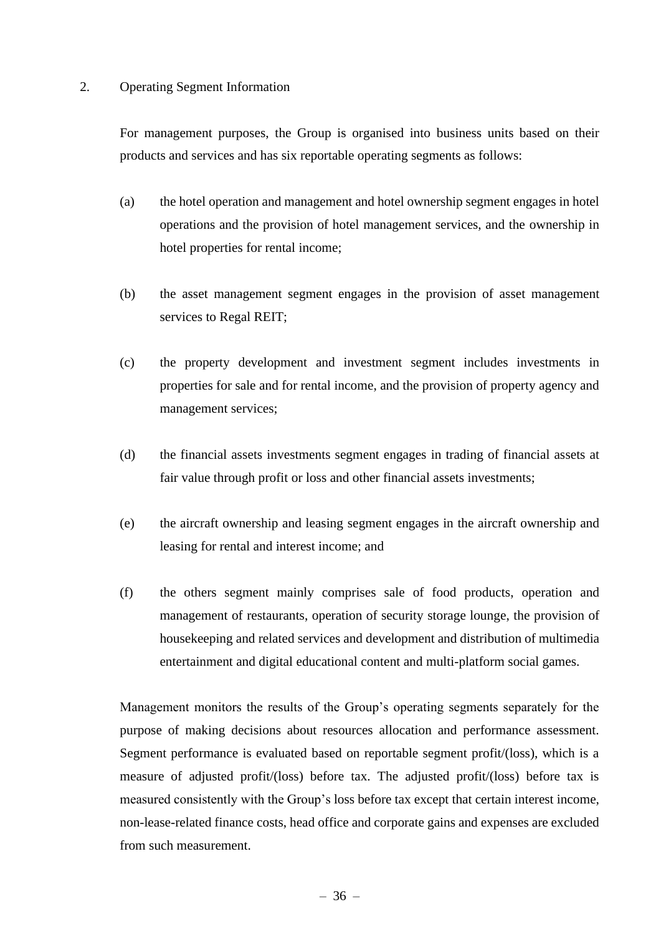#### 2. Operating Segment Information

For management purposes, the Group is organised into business units based on their products and services and has six reportable operating segments as follows:

- (a) the hotel operation and management and hotel ownership segment engages in hotel operations and the provision of hotel management services, and the ownership in hotel properties for rental income;
- (b) the asset management segment engages in the provision of asset management services to Regal REIT;
- (c) the property development and investment segment includes investments in properties for sale and for rental income, and the provision of property agency and management services;
- (d) the financial assets investments segment engages in trading of financial assets at fair value through profit or loss and other financial assets investments;
- (e) the aircraft ownership and leasing segment engages in the aircraft ownership and leasing for rental and interest income; and
- (f) the others segment mainly comprises sale of food products, operation and management of restaurants, operation of security storage lounge, the provision of housekeeping and related services and development and distribution of multimedia entertainment and digital educational content and multi-platform social games.

Management monitors the results of the Group's operating segments separately for the purpose of making decisions about resources allocation and performance assessment. Segment performance is evaluated based on reportable segment profit/(loss), which is a measure of adjusted profit/(loss) before tax. The adjusted profit/(loss) before tax is measured consistently with the Group's loss before tax except that certain interest income, non-lease-related finance costs, head office and corporate gains and expenses are excluded from such measurement.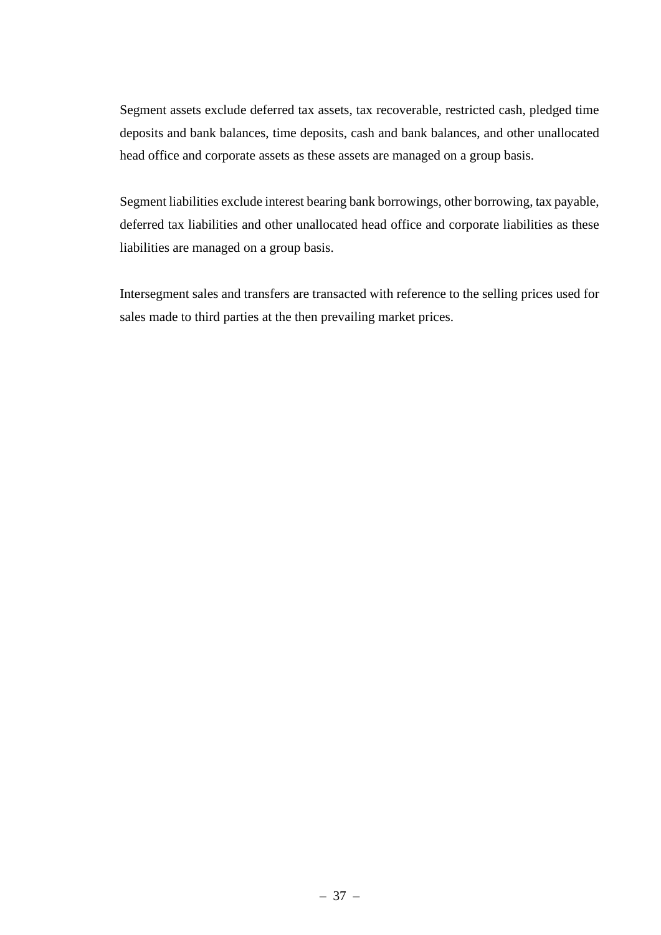Segment assets exclude deferred tax assets, tax recoverable, restricted cash, pledged time deposits and bank balances, time deposits, cash and bank balances, and other unallocated head office and corporate assets as these assets are managed on a group basis.

Segment liabilities exclude interest bearing bank borrowings, other borrowing, tax payable, deferred tax liabilities and other unallocated head office and corporate liabilities as these liabilities are managed on a group basis.

Intersegment sales and transfers are transacted with reference to the selling prices used for sales made to third parties at the then prevailing market prices.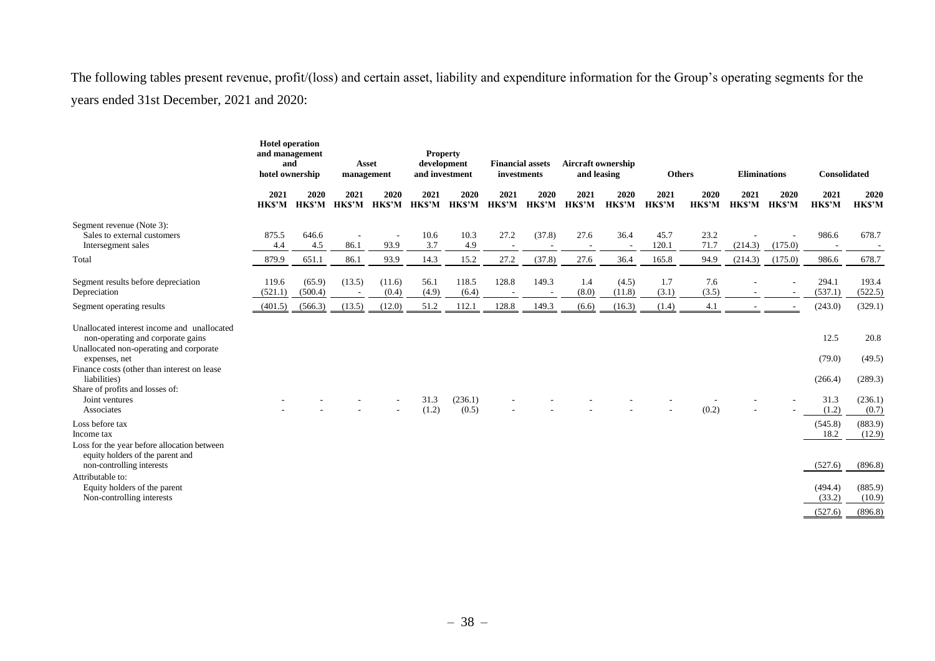The following tables present revenue, profit/(loss) and certain asset, liability and expenditure information for the Group's operating segments for the years ended 31st December, 2021 and 2020:

|                                                                                                                                                                                                                                                                                | <b>Hotel operation</b><br>and management<br>and<br>hotel ownership |                      |                                    | Asset<br>management              | <b>Property</b><br>development<br>and investment |                      | <b>Financial assets</b><br>investments |                |                | <b>Aircraft ownership</b><br>and leasing |                      | <b>Others</b>        | <b>Eliminations</b>  |                          | Consolidated                               |                                               |
|--------------------------------------------------------------------------------------------------------------------------------------------------------------------------------------------------------------------------------------------------------------------------------|--------------------------------------------------------------------|----------------------|------------------------------------|----------------------------------|--------------------------------------------------|----------------------|----------------------------------------|----------------|----------------|------------------------------------------|----------------------|----------------------|----------------------|--------------------------|--------------------------------------------|-----------------------------------------------|
|                                                                                                                                                                                                                                                                                | 2021<br>HK\$'M                                                     | 2020<br><b>HKS'M</b> | 2021<br>HKS'M                      | 2020<br><b>HKS'M</b>             | 2021<br><b>HKS'M</b>                             | 2020<br><b>HKS'M</b> | 2021<br><b>HKS'M</b>                   | 2020<br>HK\$'M | 2021<br>HK\$'M | 2020<br><b>HKS'M</b>                     | 2021<br><b>HKS'M</b> | 2020<br><b>HKS'M</b> | 2021<br><b>HKS'M</b> | 2020<br><b>HKS'M</b>     | 2021<br><b>HKS'M</b>                       | 2020<br><b>HKS'M</b>                          |
| Segment revenue (Note 3):<br>Sales to external customers<br>Intersegment sales                                                                                                                                                                                                 | 875.5<br>4.4                                                       | 646.6<br>4.5         | 86.1                               | $\overline{\phantom{a}}$<br>93.9 | 10.6<br>3.7                                      | 10.3<br>4.9          | 27.2<br>$\overline{\phantom{a}}$       | (37.8)         | 27.6           | 36.4                                     | 45.7<br>120.1        | 23.2<br>71.7         | (214.3)              | (175.0)                  | 986.6<br>$\overline{\phantom{a}}$          | 678.7                                         |
| Total                                                                                                                                                                                                                                                                          | 879.9                                                              | 651.1                | 86.1                               | 93.9                             | 14.3                                             | 15.2                 | 27.2                                   | (37.8)         | 27.6           | 36.4                                     | 165.8                | 94.9                 | (214.3)              | (175.0)                  | 986.6                                      | 678.7                                         |
| Segment results before depreciation<br>Depreciation                                                                                                                                                                                                                            | 119.6<br>(521.1)                                                   | (65.9)<br>(500.4)    | (13.5)<br>$\overline{\phantom{a}}$ | (11.6)<br>(0.4)                  | 56.1<br>(4.9)                                    | 118.5<br>(6.4)       | 128.8<br>$\sim$                        | 149.3          | 1.4<br>(8.0)   | (4.5)<br>(11.8)                          | 1.7<br>(3.1)         | 7.6<br>(3.5)         |                      | $\overline{\phantom{a}}$ | 294.1<br>(537.1)                           | 193.4<br>(522.5)                              |
| Segment operating results                                                                                                                                                                                                                                                      | (401.5)                                                            | (566.3)              | (13.5)                             | (12.0)                           | 51.2                                             | 112.1                | 128.8                                  | 149.3          | (6.6)          | (16.3)                                   | (1.4)                | 4.1                  |                      |                          | (243.0)                                    | (329.1)                                       |
| Unallocated interest income and unallocated<br>non-operating and corporate gains<br>Unallocated non-operating and corporate<br>expenses, net<br>Finance costs (other than interest on lease<br>liabilities)<br>Share of profits and losses of:<br>Joint ventures<br>Associates |                                                                    |                      |                                    |                                  | 31.3<br>(1.2)                                    | (236.1)<br>(0.5)     |                                        |                |                |                                          |                      | (0.2)                |                      |                          | 12.5<br>(79.0)<br>(266.4)<br>31.3<br>(1.2) | 20.8<br>(49.5)<br>(289.3)<br>(236.1)<br>(0.7) |
| Loss before tax<br>Income tax<br>Loss for the year before allocation between<br>equity holders of the parent and                                                                                                                                                               |                                                                    |                      |                                    |                                  |                                                  |                      |                                        |                |                |                                          |                      |                      |                      |                          | (545.8)<br>18.2                            | (883.9)<br>(12.9)                             |
| non-controlling interests<br>Attributable to:<br>Equity holders of the parent<br>Non-controlling interests                                                                                                                                                                     |                                                                    |                      |                                    |                                  |                                                  |                      |                                        |                |                |                                          |                      |                      |                      |                          | (527.6)<br>(494.4)<br>(33.2)<br>(527.6)    | (896.8)<br>(885.9)<br>(10.9)<br>(896.8)       |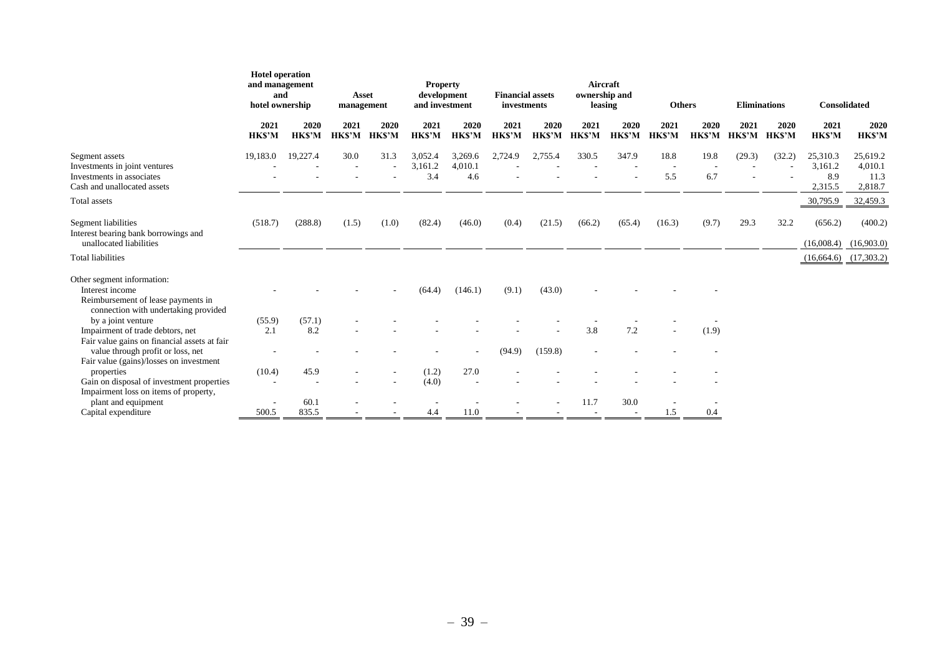|                                                                                                                             | <b>Hotel operation</b><br>and management<br>and<br>hotel ownership |                       |                       |                       |                           |                           |                      |                       | <b>Asset</b><br>management |                       | <b>Property</b><br>development<br>and investment |                       | <b>Financial assets</b><br>investments |                       | Aircraft<br>ownership and<br>leasing  |                                        | <b>Others</b> |  | <b>Eliminations</b> |  | <b>Consolidated</b> |  |
|-----------------------------------------------------------------------------------------------------------------------------|--------------------------------------------------------------------|-----------------------|-----------------------|-----------------------|---------------------------|---------------------------|----------------------|-----------------------|----------------------------|-----------------------|--------------------------------------------------|-----------------------|----------------------------------------|-----------------------|---------------------------------------|----------------------------------------|---------------|--|---------------------|--|---------------------|--|
|                                                                                                                             | 2021<br><b>HK\$'M</b>                                              | 2020<br><b>HK\$'M</b> | 2021<br><b>HK\$'M</b> | 2020<br><b>HK\$'M</b> | 2021<br><b>HK\$'M</b>     | 2020<br><b>HK\$'M</b>     | 2021<br><b>HKS'M</b> | 2020<br><b>HK\$'M</b> | 2021<br><b>HK\$'M</b>      | 2020<br><b>HK\$'M</b> | 2021<br><b>HK\$'M</b>                            | 2020<br><b>HK\$'M</b> | 2021<br><b>HK\$'M</b>                  | 2020<br><b>HK\$'M</b> | 2021<br><b>HK\$'M</b>                 | 2020<br><b>HKS'M</b>                   |               |  |                     |  |                     |  |
| Segment assets<br>Investments in joint ventures<br>Investments in associates<br>Cash and unallocated assets                 | 19,183.0                                                           | 19,227.4              | 30.0                  | 31.3                  | 3,052.4<br>3,161.2<br>3.4 | 3,269.6<br>4,010.1<br>4.6 | 2,724.9              | 2,755.4               | 330.5                      | 347.9                 | 18.8<br>5.5                                      | 19.8<br>6.7           | (29.3)                                 | (32.2)                | 25,310.3<br>3,161.2<br>8.9<br>2,315.5 | 25,619.2<br>4,010.1<br>11.3<br>2,818.7 |               |  |                     |  |                     |  |
| Total assets                                                                                                                |                                                                    |                       |                       |                       |                           |                           |                      |                       |                            |                       |                                                  |                       |                                        |                       | 30,795.9                              | 32,459.3                               |               |  |                     |  |                     |  |
| Segment liabilities<br>Interest bearing bank borrowings and<br>unallocated liabilities                                      | (518.7)                                                            | (288.8)               | (1.5)                 | (1.0)                 | (82.4)                    | (46.0)                    | (0.4)                | (21.5)                | (66.2)                     | (65.4)                | (16.3)                                           | (9.7)                 | 29.3                                   | 32.2                  | (656.2)<br>(16,008.4)                 | (400.2)<br>(16,903.0)                  |               |  |                     |  |                     |  |
| <b>Total liabilities</b>                                                                                                    |                                                                    |                       |                       |                       |                           |                           |                      |                       |                            |                       |                                                  |                       |                                        |                       | $(16,664.6)$ $(17,303.2)$             |                                        |               |  |                     |  |                     |  |
| Other segment information:<br>Interest income<br>Reimbursement of lease payments in<br>connection with undertaking provided |                                                                    |                       |                       |                       | (64.4)                    | (146.1)                   | (9.1)                | (43.0)                |                            |                       |                                                  |                       |                                        |                       |                                       |                                        |               |  |                     |  |                     |  |
| by a joint venture                                                                                                          | (55.9)                                                             | (57.1)                |                       |                       |                           |                           |                      |                       |                            |                       |                                                  |                       |                                        |                       |                                       |                                        |               |  |                     |  |                     |  |
| Impairment of trade debtors, net<br>Fair value gains on financial assets at fair                                            | 2.1                                                                | 8.2                   |                       |                       |                           |                           |                      |                       | 3.8                        | 7.2                   |                                                  | (1.9)                 |                                        |                       |                                       |                                        |               |  |                     |  |                     |  |
| value through profit or loss, net<br>Fair value (gains)/losses on investment                                                |                                                                    |                       |                       |                       |                           |                           | (94.9)               | (159.8)               |                            |                       |                                                  |                       |                                        |                       |                                       |                                        |               |  |                     |  |                     |  |
| properties                                                                                                                  | (10.4)                                                             | 45.9                  |                       |                       | (1.2)                     | 27.0                      |                      |                       |                            |                       |                                                  |                       |                                        |                       |                                       |                                        |               |  |                     |  |                     |  |
| Gain on disposal of investment properties<br>Impairment loss on items of property,                                          |                                                                    |                       |                       |                       | (4.0)                     |                           |                      |                       |                            |                       |                                                  |                       |                                        |                       |                                       |                                        |               |  |                     |  |                     |  |
| plant and equipment                                                                                                         |                                                                    | 60.1                  |                       |                       |                           |                           |                      |                       | 11.7                       | 30.0                  |                                                  |                       |                                        |                       |                                       |                                        |               |  |                     |  |                     |  |
| Capital expenditure                                                                                                         | 500.5                                                              | 835.5                 |                       |                       | 4.4                       | 11.0                      |                      |                       |                            |                       | 1.5                                              | 0.4                   |                                        |                       |                                       |                                        |               |  |                     |  |                     |  |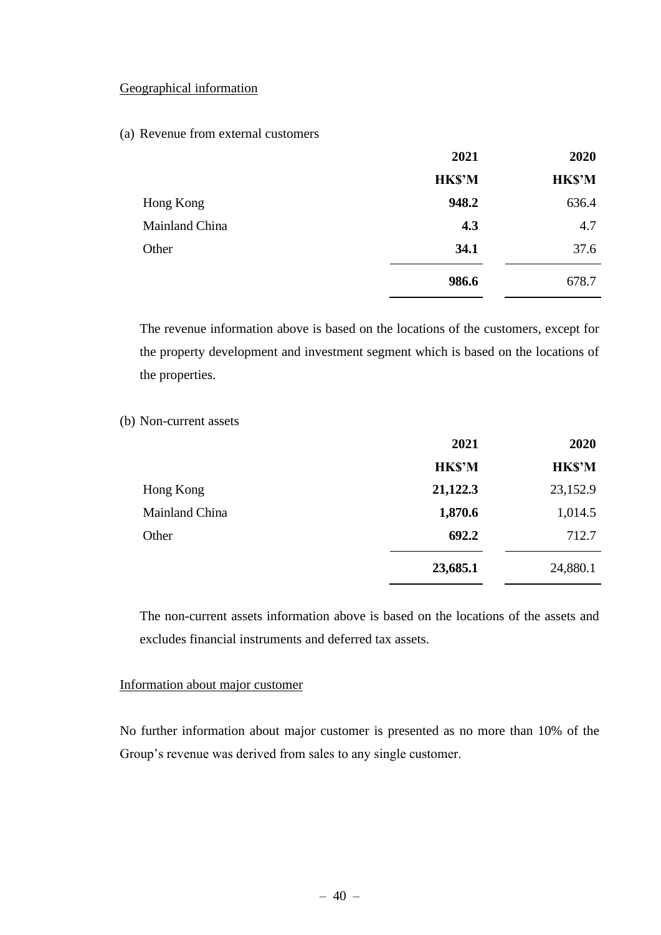### Geographical information

#### (a) Revenue from external customers

|                | 2021          | 2020          |
|----------------|---------------|---------------|
|                | <b>HK\$'M</b> | <b>HK\$'M</b> |
| Hong Kong      | 948.2         | 636.4         |
| Mainland China | 4.3           | 4.7           |
| Other          | 34.1          | 37.6          |
|                | 986.6         | 678.7         |

The revenue information above is based on the locations of the customers, except for the property development and investment segment which is based on the locations of the properties.

### (b) Non-current assets

|                | 2021          | 2020          |
|----------------|---------------|---------------|
|                | <b>HK\$'M</b> | <b>HK\$'M</b> |
| Hong Kong      | 21,122.3      | 23,152.9      |
| Mainland China | 1,870.6       | 1,014.5       |
| Other          | 692.2         | 712.7         |
|                | 23,685.1      | 24,880.1      |

The non-current assets information above is based on the locations of the assets and excludes financial instruments and deferred tax assets.

#### Information about major customer

No further information about major customer is presented as no more than 10% of the Group's revenue was derived from sales to any single customer.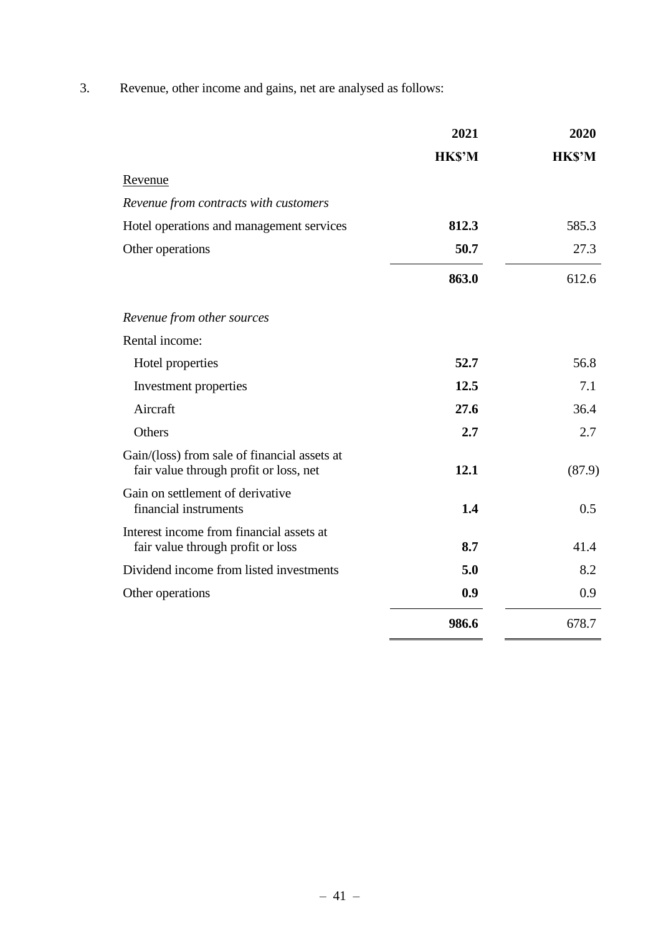3. Revenue, other income and gains, net are analysed as follows:

|                                                                                        | 2021          | 2020          |
|----------------------------------------------------------------------------------------|---------------|---------------|
|                                                                                        | <b>HK\$'M</b> | <b>HK\$'M</b> |
| Revenue                                                                                |               |               |
| Revenue from contracts with customers                                                  |               |               |
| Hotel operations and management services                                               | 812.3         | 585.3         |
| Other operations                                                                       | 50.7          | 27.3          |
|                                                                                        | 863.0         | 612.6         |
| Revenue from other sources                                                             |               |               |
| Rental income:                                                                         |               |               |
| Hotel properties                                                                       | 52.7          | 56.8          |
| Investment properties                                                                  | 12.5          | 7.1           |
| Aircraft                                                                               | 27.6          | 36.4          |
| Others                                                                                 | 2.7           | 2.7           |
| Gain/(loss) from sale of financial assets at<br>fair value through profit or loss, net | 12.1          | (87.9)        |
| Gain on settlement of derivative<br>financial instruments                              | 1.4           | 0.5           |
| Interest income from financial assets at<br>fair value through profit or loss          | 8.7           | 41.4          |
| Dividend income from listed investments                                                | 5.0           | 8.2           |
| Other operations                                                                       | 0.9           | 0.9           |
|                                                                                        | 986.6         | 678.7         |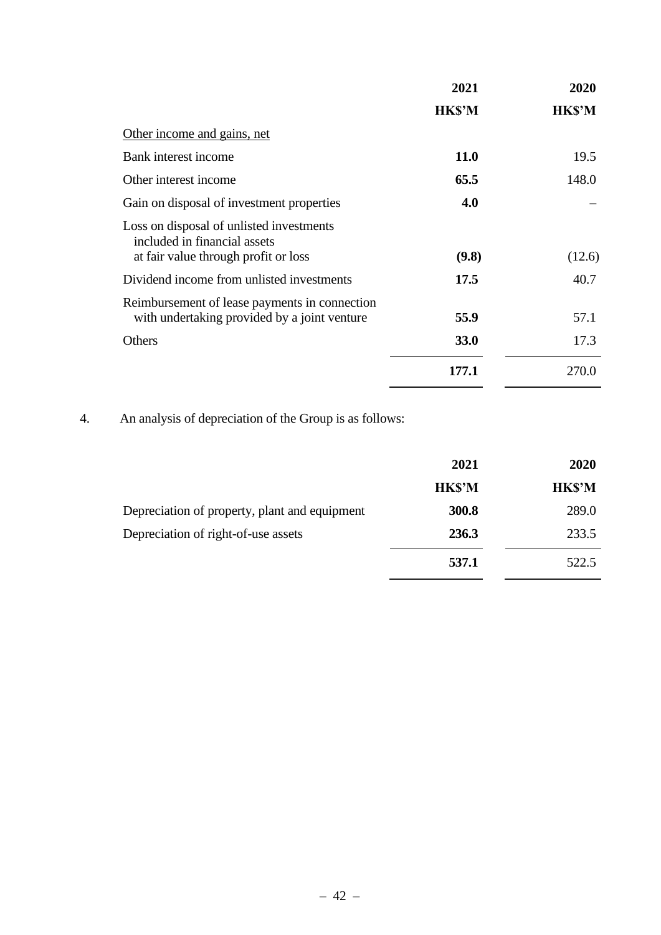|                                                                          | 2021          | 2020         |
|--------------------------------------------------------------------------|---------------|--------------|
|                                                                          | <b>HK\$'M</b> | <b>HKS'M</b> |
| Other income and gains, net                                              |               |              |
| Bank interest income                                                     | <b>11.0</b>   | 19.5         |
| Other interest income                                                    | 65.5          | 148.0        |
| Gain on disposal of investment properties                                | 4.0           |              |
| Loss on disposal of unlisted investments<br>included in financial assets |               |              |
| at fair value through profit or loss                                     | (9.8)         | (12.6)       |
| Dividend income from unlisted investments                                | 17.5          | 40.7         |
| Reimbursement of lease payments in connection                            |               |              |
| with undertaking provided by a joint venture                             | 55.9          | 57.1         |
| Others                                                                   | 33.0          | 17.3         |
|                                                                          | 177.1         | 270.0        |

4. An analysis of depreciation of the Group is as follows:

|                                               | 2021          | 2020          |
|-----------------------------------------------|---------------|---------------|
|                                               | <b>HK\$'M</b> | <b>HK\$'M</b> |
| Depreciation of property, plant and equipment | 300.8         | 289.0         |
| Depreciation of right-of-use assets           | 236.3         | 233.5         |
|                                               | 537.1         | 522.5         |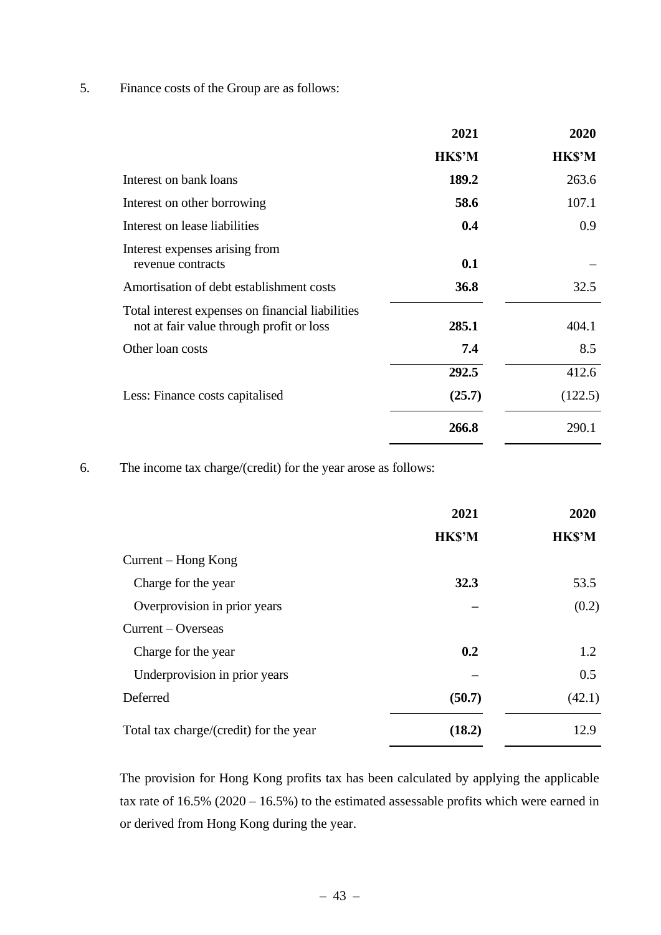5. Finance costs of the Group are as follows:

|                                                                                              | 2021         | 2020          |
|----------------------------------------------------------------------------------------------|--------------|---------------|
|                                                                                              | <b>HKS'M</b> | <b>HK\$'M</b> |
| Interest on bank loans                                                                       | 189.2        | 263.6         |
| Interest on other borrowing                                                                  | 58.6         | 107.1         |
| Interest on lease liabilities                                                                | 0.4          | 0.9           |
| Interest expenses arising from<br>revenue contracts                                          | 0.1          |               |
| Amortisation of debt establishment costs                                                     | 36.8         | 32.5          |
| Total interest expenses on financial liabilities<br>not at fair value through profit or loss | 285.1        | 404.1         |
| Other loan costs                                                                             | 7.4          | 8.5           |
|                                                                                              | 292.5        | 412.6         |
| Less: Finance costs capitalised                                                              | (25.7)       | (122.5)       |
|                                                                                              | 266.8        | 290.1         |

6. The income tax charge/(credit) for the year arose as follows:

|                                        | 2021          | 2020          |
|----------------------------------------|---------------|---------------|
|                                        | <b>HK\$'M</b> | <b>HK\$'M</b> |
| Current – Hong Kong                    |               |               |
| Charge for the year                    | 32.3          | 53.5          |
| Overprovision in prior years           |               | (0.2)         |
| $Current - Overseas$                   |               |               |
| Charge for the year                    | 0.2           | 1.2           |
| Underprovision in prior years          |               | 0.5           |
| Deferred                               | (50.7)        | (42.1)        |
| Total tax charge/(credit) for the year | (18.2)        | 12.9          |

The provision for Hong Kong profits tax has been calculated by applying the applicable tax rate of 16.5% (2020 – 16.5%) to the estimated assessable profits which were earned in or derived from Hong Kong during the year.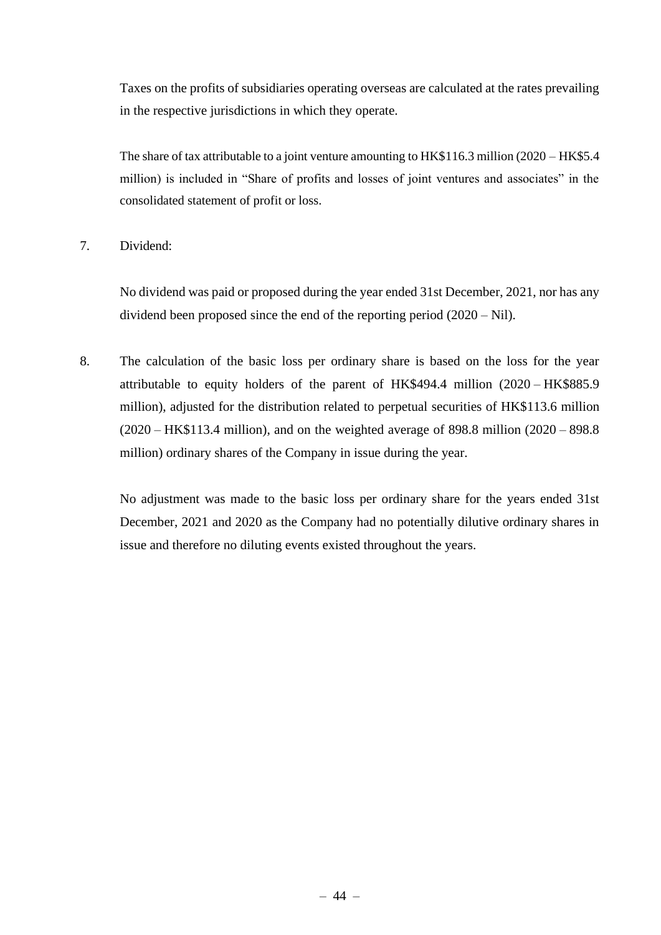Taxes on the profits of subsidiaries operating overseas are calculated at the rates prevailing in the respective jurisdictions in which they operate.

The share of tax attributable to a joint venture amounting to HK\$116.3 million (2020 – HK\$5.4) million) is included in "Share of profits and losses of joint ventures and associates" in the consolidated statement of profit or loss.

7. Dividend:

No dividend was paid or proposed during the year ended 31st December, 2021, nor has any dividend been proposed since the end of the reporting period (2020 – Nil).

8. The calculation of the basic loss per ordinary share is based on the loss for the year attributable to equity holders of the parent of HK\$494.4 million (2020 – HK\$885.9 million), adjusted for the distribution related to perpetual securities of HK\$113.6 million (2020 – HK\$113.4 million), and on the weighted average of 898.8 million (2020 – 898.8 million) ordinary shares of the Company in issue during the year.

No adjustment was made to the basic loss per ordinary share for the years ended 31st December, 2021 and 2020 as the Company had no potentially dilutive ordinary shares in issue and therefore no diluting events existed throughout the years.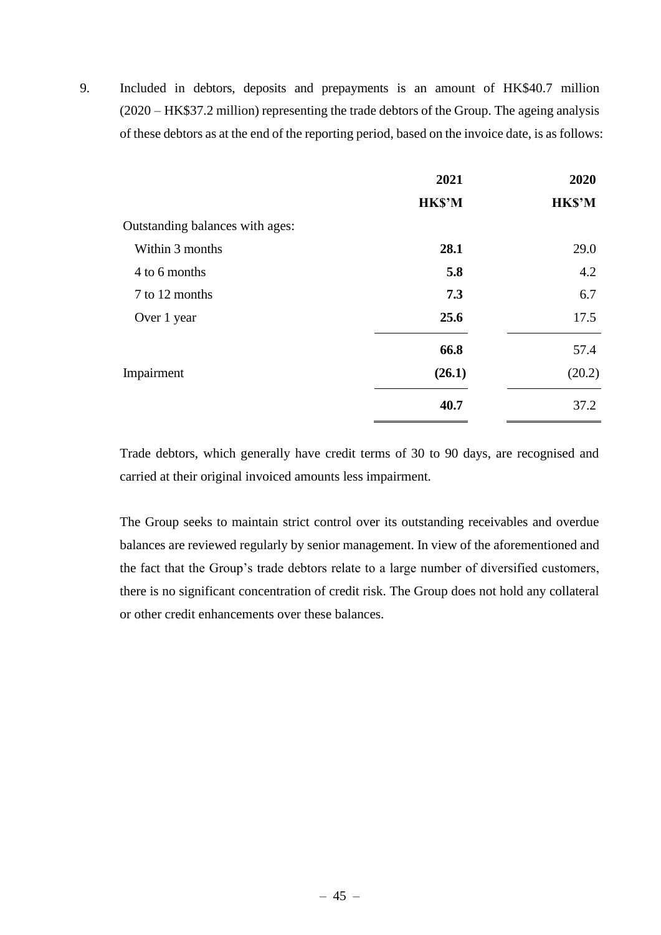9. Included in debtors, deposits and prepayments is an amount of HK\$40.7 million (2020 – HK\$37.2 million) representing the trade debtors of the Group. The ageing analysis of these debtors as at the end of the reporting period, based on the invoice date, is as follows:

|                                 | 2021          | 2020          |
|---------------------------------|---------------|---------------|
|                                 | <b>HK\$'M</b> | <b>HK\$'M</b> |
| Outstanding balances with ages: |               |               |
| Within 3 months                 | 28.1          | 29.0          |
| 4 to 6 months                   | 5.8           | 4.2           |
| 7 to 12 months                  | 7.3           | 6.7           |
| Over 1 year                     | 25.6          | 17.5          |
|                                 | 66.8          | 57.4          |
| Impairment                      | (26.1)        | (20.2)        |
|                                 | 40.7          | 37.2          |
|                                 |               |               |

Trade debtors, which generally have credit terms of 30 to 90 days, are recognised and carried at their original invoiced amounts less impairment.

The Group seeks to maintain strict control over its outstanding receivables and overdue balances are reviewed regularly by senior management. In view of the aforementioned and the fact that the Group's trade debtors relate to a large number of diversified customers, there is no significant concentration of credit risk. The Group does not hold any collateral or other credit enhancements over these balances.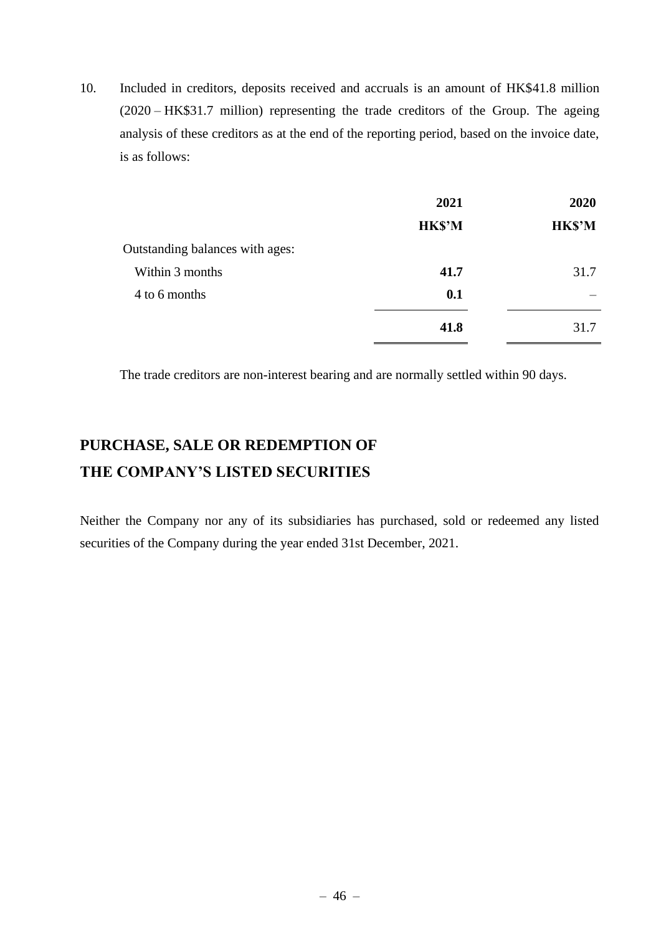10. Included in creditors, deposits received and accruals is an amount of HK\$41.8 million (2020 – HK\$31.7 million) representing the trade creditors of the Group. The ageing analysis of these creditors as at the end of the reporting period, based on the invoice date, is as follows:

|                                 | 2021          | 2020          |
|---------------------------------|---------------|---------------|
|                                 | <b>HK\$'M</b> | <b>HK\$'M</b> |
| Outstanding balances with ages: |               |               |
| Within 3 months                 | 41.7          | 31.7          |
| 4 to 6 months                   | 0.1           |               |
|                                 | 41.8          | 31.7          |

The trade creditors are non-interest bearing and are normally settled within 90 days.

# **PURCHASE, SALE OR REDEMPTION OF THE COMPANY'S LISTED SECURITIES**

Neither the Company nor any of its subsidiaries has purchased, sold or redeemed any listed securities of the Company during the year ended 31st December, 2021.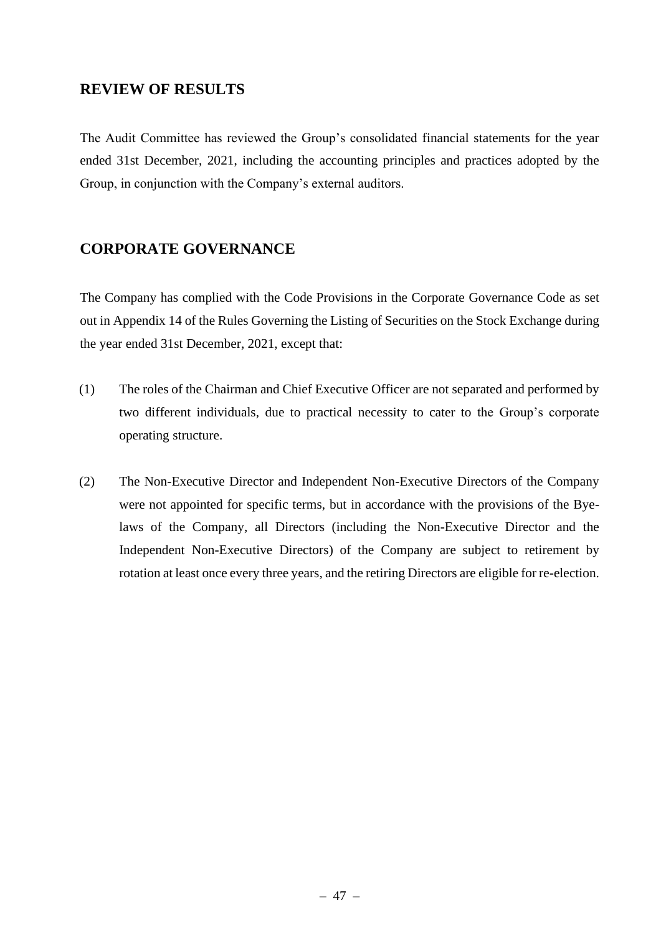# **REVIEW OF RESULTS**

The Audit Committee has reviewed the Group's consolidated financial statements for the year ended 31st December, 2021, including the accounting principles and practices adopted by the Group, in conjunction with the Company's external auditors.

# **CORPORATE GOVERNANCE**

The Company has complied with the Code Provisions in the Corporate Governance Code as set out in Appendix 14 of the Rules Governing the Listing of Securities on the Stock Exchange during the year ended 31st December, 2021, except that:

- (1) The roles of the Chairman and Chief Executive Officer are not separated and performed by two different individuals, due to practical necessity to cater to the Group's corporate operating structure.
- (2) The Non-Executive Director and Independent Non-Executive Directors of the Company were not appointed for specific terms, but in accordance with the provisions of the Byelaws of the Company, all Directors (including the Non-Executive Director and the Independent Non-Executive Directors) of the Company are subject to retirement by rotation at least once every three years, and the retiring Directors are eligible for re-election.